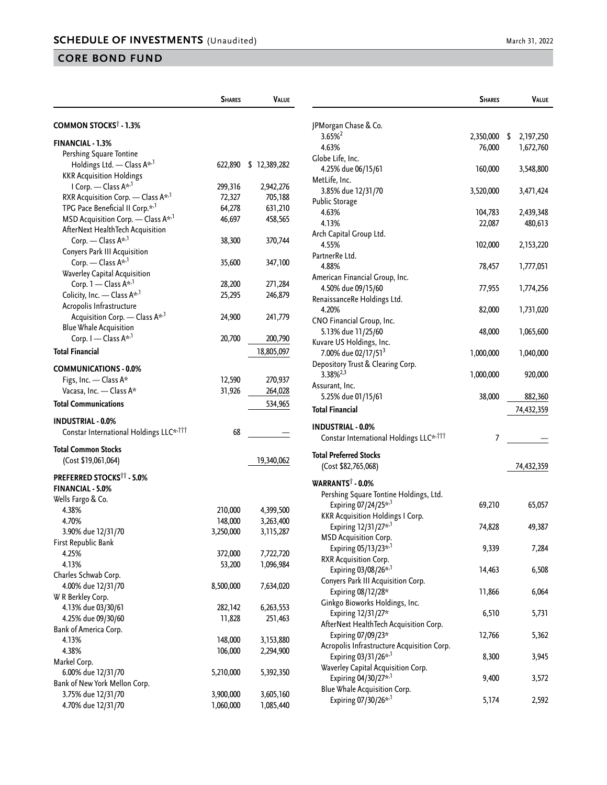|                                                    | <b>SHARES</b> | <b>VALUE</b> |                                                      |
|----------------------------------------------------|---------------|--------------|------------------------------------------------------|
| <b>COMMON STOCKS<sup>†</sup> - 1.3%</b>            |               |              | JPMorgan Chase & Co.                                 |
|                                                    |               |              | $3.65\%$ <sup>2</sup>                                |
| <b>FINANCIAL - 1.3%</b>                            |               |              | 4.63%                                                |
| Pershing Square Tontine                            |               |              | Globe Life, Inc.                                     |
| Holdings Ltd. - Class A <sup>*,1</sup>             | 622,890       | \$12,389,282 | 4.25% due 06/15/61                                   |
| <b>KKR Acquisition Holdings</b>                    |               |              | MetLife, Inc.                                        |
| I Corp. - Class A* <sup>,1</sup>                   | 299,316       | 2,942,276    | 3.85% due 12/31/70                                   |
| RXR Acquisition Corp. - Class $A^{\star,1}$        | 72,327        | 705,188      | <b>Public Storage</b>                                |
| TPG Pace Beneficial II Corp.* <sup>,1</sup>        | 64,278        | 631,210      | 4.63%                                                |
| MSD Acquisition Corp. — Class $A^{\star,1}$        | 46,697        | 458,565      | 4.13%                                                |
| AfterNext HealthTech Acquisition                   |               |              | Arch Capital Group Ltd.                              |
| Corp. — Class $A^{k,1}$                            | 38,300        | 370,744      | 4.55%                                                |
| Conyers Park III Acquisition                       |               |              | PartnerRe Ltd.                                       |
| Corp. - Class A <sup>*,1</sup>                     | 35,600        | 347,100      | 4.88%                                                |
| Waverley Capital Acquisition                       |               |              |                                                      |
| Corp. 1 - Class A* <sup>1</sup>                    | 28,200        | 271,284      | American Financial Group, Inc.                       |
| Colicity, Inc. - Class A* <sup>,1</sup>            | 25,295        | 246,879      | 4.50% due 09/15/60                                   |
| Acropolis Infrastructure                           |               |              | RenaissanceRe Holdings Ltd.                          |
| Acquisition Corp. - Class A <sup>*,1</sup>         | 24,900        | 241,779      | 4.20%                                                |
| <b>Blue Whale Acquisition</b>                      |               |              | CNO Financial Group, Inc.                            |
| Corp. I - Class A* <sup>1</sup>                    | 20,700        | 200,790      | 5.13% due 11/25/60                                   |
|                                                    |               |              | Kuvare US Holdings, Inc.                             |
| <b>Total Financial</b>                             |               | 18,805,097   | 7.00% due 02/17/51 <sup>3</sup>                      |
| <b>COMMUNICATIONS - 0.0%</b>                       |               |              | Depository Trust & Clearing Corp.                    |
| Figs, Inc. - Class A*                              | 12,590        | 270,937      | $3.38\%^{2,3}$                                       |
| Vacasa, Inc. - Class A*                            | 31,926        | 264,028      | Assurant, Inc.                                       |
|                                                    |               |              | 5.25% due 01/15/61                                   |
| <b>Total Communications</b>                        |               | 534,965      | <b>Total Financial</b>                               |
| <b>INDUSTRIAL - 0.0%</b>                           |               |              | <b>INDUSTRIAL - 0.0%</b>                             |
| Constar International Holdings LLC* <sup>111</sup> | 68            |              | Constar International Holdings                       |
| <b>Total Common Stocks</b>                         |               |              |                                                      |
| (Cost \$19,061,064)                                |               | 19,340,062   | <b>Total Preferred Stocks</b><br>(Cost \$82,765,068) |
| <b>PREFERRED STOCKS<sup>11</sup> - 5.0%</b>        |               |              |                                                      |
| <b>FINANCIAL - 5.0%</b>                            |               |              | WARRANTS <sup>†</sup> - 0.0%                         |
|                                                    |               |              | Pershing Square Tontine Holdi                        |
| Wells Fargo & Co.                                  |               |              | Expiring 07/24/25 <sup>*</sup> <sup>1</sup>          |
| 4.38%                                              | 210,000       | 4,399,500    | <b>KKR Acquisition Holdings I Co</b>                 |
| 4.70%                                              | 148,000       | 3,263,400    | Expiring 12/31/27* <sup>,1</sup>                     |
| 3.90% due 12/31/70                                 | 3,250,000     | 3,115,287    | <b>MSD Acquisition Corp.</b>                         |
| First Republic Bank                                |               |              | Expiring 05/13/23* <sup>,1</sup>                     |
| 4.25%                                              | 372,000       | 7,722,720    | RXR Acquisition Corp.                                |
| 4.13%                                              | 53,200        | 1,096,984    | Expiring 03/08/26* <sup>1</sup>                      |
| Charles Schwab Corp.                               |               |              | Conyers Park III Acquisition Co                      |
| 4.00% due 12/31/70                                 | 8,500,000     | 7,634,020    | Expiring 08/12/28*                                   |
| W R Berkley Corp.                                  |               |              | Ginkgo Bioworks Holdings, Inc                        |
| 4.13% due 03/30/61                                 | 282,142       | 6,263,553    |                                                      |
| 4.25% due 09/30/60                                 | 11,828        | 251,463      | Expiring 12/31/27*                                   |
| Bank of America Corp.                              |               |              | AfterNext HealthTech Acquisiti                       |
| 4.13%                                              | 148,000       | 3,153,880    | Expiring 07/09/23*                                   |
| 4.38%                                              | 106,000       | 2,294,900    | Acropolis Infrastructure Acquis                      |
| Markel Corp.                                       |               |              | Expiring 03/31/26* <sup>1</sup>                      |
| 6.00% due 12/31/70                                 | 5,210,000     | 5,392,350    | Waverley Capital Acquisition Co                      |
| Bank of New York Mellon Corp.                      |               |              | Expiring 04/30/27* <sup>,1</sup>                     |
| 3.75% due 12/31/70                                 | 3,900,000     | 3,605,160    | Blue Whale Acquisition Corp.                         |
| 4.70% due 12/31/70                                 | 1,060,000     | 1,085,440    | Expiring 07/30/26* <sup>1</sup>                      |
|                                                    |               |              |                                                      |

|                                                     | <b>SHARES</b> | VALUE      |
|-----------------------------------------------------|---------------|------------|
|                                                     |               |            |
| JPMorgan Chase & Co.                                |               |            |
| $3.65%^{2}$                                         | 2,350,000 \$  | 2,197,250  |
| 4.63%                                               | 76,000        | 1,672,760  |
| Globe Life, Inc.                                    |               |            |
| 4.25% due 06/15/61                                  | 160,000       | 3,548,800  |
| MetLife, Inc.                                       |               |            |
| 3.85% due 12/31/70                                  | 3,520,000     | 3,471,424  |
| <b>Public Storage</b>                               |               |            |
| 4.63%                                               | 104,783       | 2,439,348  |
| 4.13%                                               | 22,087        | 480,613    |
| Arch Capital Group Ltd.                             |               |            |
| 4.55%                                               | 102,000       | 2,153,220  |
| PartnerRe Ltd.                                      |               |            |
| 4.88%                                               | 78,457        | 1,777,051  |
| American Financial Group, Inc.                      |               |            |
| 4.50% due 09/15/60                                  | 77,955        | 1,774,256  |
| RenaissanceRe Holdings Ltd.                         |               |            |
| 4.20%                                               | 82,000        | 1,731,020  |
| CNO Financial Group, Inc.                           |               |            |
| 5.13% due 11/25/60                                  | 48,000        | 1,065,600  |
| Kuvare US Holdings, Inc.                            |               |            |
| 7.00% due 02/17/51 <sup>3</sup>                     | 1,000,000     | 1,040,000  |
| Depository Trust & Clearing Corp.                   |               |            |
| 3.38% <sup>2,3</sup>                                | 1,000,000     | 920,000    |
| Assurant, Inc.                                      |               |            |
| 5.25% due 01/15/61                                  | 38,000        | 882,360    |
| Total Financial                                     |               | 74,432,359 |
| INDUSTRIAL - 0.0%                                   |               |            |
| Constar International Holdings LLC* <sup>,†††</sup> | 7             |            |
| Total Preferred Stocks                              |               |            |
| (Cost \$82,765,068)                                 |               | 74,432,359 |
|                                                     |               |            |
| WARRANTS† - 0.0%                                    |               |            |
| Pershing Square Tontine Holdings, Ltd.              |               |            |
| Expiring 07/24/25* <sup>,1</sup>                    | 69,210        | 65,057     |
| <b>KKR Acquisition Holdings I Corp.</b>             |               |            |
| Expiring 12/31/27* <sup>,1</sup>                    | 74,828        | 49,387     |
| <b>MSD Acquisition Corp.</b>                        |               |            |
| Expiring 05/13/23* <sup>,1</sup>                    | 9,339         | 7,284      |
| RXR Acquisition Corp.                               |               |            |
| Expiring 03/08/26* <sup>,1</sup>                    | 14,463        | 6,508      |
| Conyers Park III Acquisition Corp.                  |               |            |
| Expiring 08/12/28*                                  | 11,866        | 6,064      |
| Ginkgo Bioworks Holdings, Inc.                      |               |            |
| Expiring 12/31/27*                                  | 6,510         | 5,731      |
| AfterNext HealthTech Acquisition Corp.              |               |            |
| Expiring 07/09/23*                                  | 12,766        | 5,362      |
| Acropolis Infrastructure Acquisition Corp.          |               |            |
| Expiring 03/31/26 <sup>**,1</sup>                   | 8,300         | 3,945      |
| Waverley Capital Acquisition Corp.                  |               |            |
| Expiring 04/30/27* <sup>,1</sup>                    | 9,400         | 3,572      |
| Blue Whale Acquisition Corp.                        |               |            |
| Expiring 07/30/26* <sup>,1</sup>                    | 5,174         | 2,592      |
|                                                     |               |            |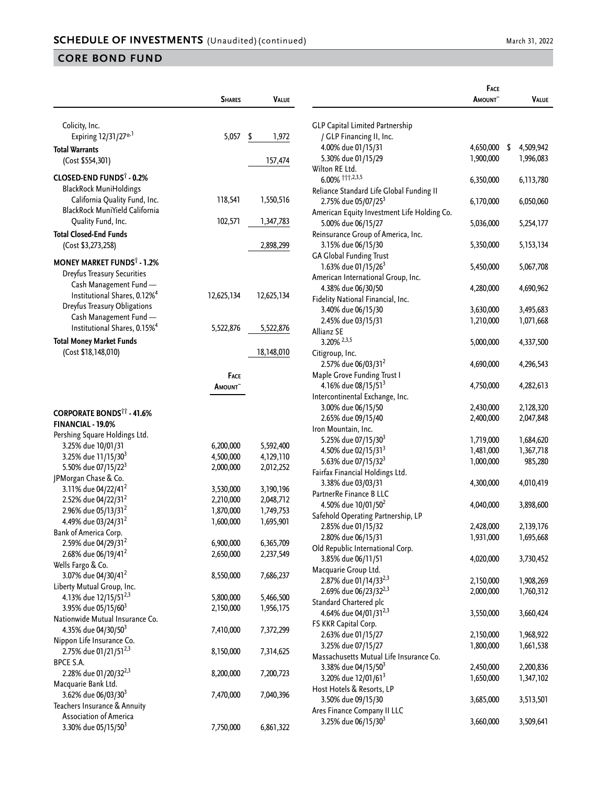|                                                                          | <b>SHARES</b>  | VALUE       |
|--------------------------------------------------------------------------|----------------|-------------|
| Colicity, Inc.                                                           |                |             |
| Expiring 12/31/27* <sup>,1</sup>                                         | 5,057          | \$<br>1,972 |
| <b>Total Warrants</b>                                                    |                |             |
| (Cost \$554,301)                                                         |                | 157,474     |
| CLOSED-END FUNDS <sup>†</sup> - 0.2%                                     |                |             |
| <b>BlackRock MuniHoldings</b>                                            |                |             |
| California Quality Fund, Inc.<br>BlackRock MuniYield California          | 118,541        | 1,550,516   |
| Quality Fund, Inc.                                                       | 102,571        | 1,347,783   |
| <b>Total Closed-End Funds</b>                                            |                |             |
| (Cost \$3,273,258)                                                       |                | 2,898,299   |
| <b>MONEY MARKET FUNDS<sup>†</sup> - 1.2%</b>                             |                |             |
| <b>Dreyfus Treasury Securities</b>                                       |                |             |
| Cash Management Fund -                                                   |                |             |
| Institutional Shares, 0.12% <sup>4</sup><br>Dreyfus Treasury Obligations | 12,625,134     | 12,625,134  |
| Cash Management Fund -                                                   |                |             |
| Institutional Shares, 0.15% <sup>4</sup>                                 | 5,522,876      | 5,522,876   |
| <b>Total Money Market Funds</b>                                          |                |             |
| (Cost \$18,148,010)                                                      |                | 18,148,010  |
|                                                                          | <b>FACE</b>    |             |
|                                                                          | <b>A</b> MOUNT |             |
|                                                                          |                |             |
| <b>CORPORATE BONDS<sup>11</sup> - 41.6%</b>                              |                |             |
| FINANCIAL - 19.0%                                                        |                |             |
| Pershing Square Holdings Ltd.<br>3.25% due 10/01/31                      | 6,200,000      | 5,592,400   |
| 3.25% due 11/15/30 <sup>3</sup>                                          | 4,500,000      | 4,129,110   |
| 5.50% due 07/15/22 <sup>3</sup>                                          | 2,000,000      | 2,012,252   |
| JPMorgan Chase & Co.                                                     |                |             |
| 3.11% due 04/22/41 <sup>2</sup>                                          | 3,530,000      | 3,190,196   |
| 2.52% due 04/22/31 <sup>2</sup>                                          | 2,210,000      | 2,048,712   |
| 2.96% due 05/13/31 <sup>2</sup>                                          | 1,870,000      | 1,749,753   |
| 4.49% due 03/24/31 <sup>2</sup>                                          | 1,600,000      | 1,695,901   |
| Bank of America Corp.                                                    |                |             |
| 2.59% due 04/29/31 <sup>2</sup>                                          | 6,900,000      | 6,365,709   |
| 2.68% due 06/19/41 <sup>2</sup>                                          | 2,650,000      | 2,237,549   |
| Wells Fargo & Co.<br>3.07% due 04/30/41 <sup>2</sup>                     | 8,550,000      | 7,686,237   |
| Liberty Mutual Group, Inc.                                               |                |             |
| 4.13% due 12/15/51 <sup>2,3</sup>                                        | 5,800,000      | 5,466,500   |
| 3.95% due 05/15/60 <sup>3</sup>                                          | 2,150,000      | 1,956,175   |
| Nationwide Mutual Insurance Co.                                          |                |             |
| 4.35% due 04/30/50 <sup>3</sup>                                          | 7,410,000      | 7,372,299   |
| Nippon Life Insurance Co.                                                |                |             |
| 2.75% due 01/21/51 <sup>2,3</sup>                                        | 8,150,000      | 7,314,625   |
| BPCE S.A.                                                                |                |             |
| 2.28% due 01/20/32 <sup>2,3</sup><br>Macquarie Bank Ltd.                 | 8,200,000      | 7,200,723   |
| 3.62% due 06/03/30 <sup>3</sup>                                          | 7,470,000      | 7,040,396   |
| Teachers Insurance & Annuity                                             |                |             |
| <b>Association of America</b>                                            |                |             |
| 3.30% due 05/15/50 <sup>3</sup>                                          | 7,750,000      | 6,861,322   |

|                                             | <b>FACE</b><br><b>A</b> MOUNT | Value           |
|---------------------------------------------|-------------------------------|-----------------|
|                                             |                               |                 |
| <b>GLP Capital Limited Partnership</b>      |                               |                 |
| / GLP Financing II, Inc.                    |                               |                 |
| 4.00% due 01/15/31<br>5.30% due 01/15/29    | 4,650,000                     | \$<br>4,509,942 |
| Wilton RE Ltd.                              | 1,900,000                     | 1,996,083       |
| 6.00% 111,2,3,5                             | 6,350,000                     | 6,113,780       |
| Reliance Standard Life Global Funding II    |                               |                 |
| 2.75% due 05/07/25 <sup>3</sup>             | 6,170,000                     | 6,050,060       |
| American Equity Investment Life Holding Co. |                               |                 |
| 5.00% due 06/15/27                          | 5,036,000                     | 5,254,177       |
| Reinsurance Group of America, Inc.          |                               |                 |
| 3.15% due 06/15/30                          | 5,350,000                     | 5, 153, 134     |
| <b>GA Global Funding Trust</b>              |                               |                 |
| 1.63% due 01/15/26 <sup>3</sup>             | 5,450,000                     | 5,067,708       |
| American International Group, Inc.          |                               |                 |
| 4.38% due 06/30/50                          | 4,280,000                     | 4,690,962       |
| Fidelity National Financial, Inc.           |                               |                 |
| 3.40% due 06/15/30                          | 3,630,000                     | 3,495,683       |
| 2.45% due 03/15/31                          | 1,210,000                     | 1,071,668       |
| Allianz SE                                  |                               |                 |
| 3.20% 2,3,5                                 | 5,000,000                     | 4,337,500       |
| Citigroup, Inc.                             |                               |                 |
| 2.57% due 06/03/31 <sup>2</sup>             | 4,690,000                     | 4,296,543       |
| Maple Grove Funding Trust I                 |                               |                 |
| 4.16% due 08/15/51 <sup>3</sup>             | 4,750,000                     | 4,282,613       |
| Intercontinental Exchange, Inc.             |                               |                 |
| 3.00% due 06/15/50                          | 2,430,000                     | 2,128,320       |
| 2.65% due 09/15/40                          | 2,400,000                     | 2,047,848       |
| Iron Mountain, Inc.                         |                               |                 |
| 5.25% due 07/15/30 <sup>3</sup>             | 1,719,000                     | 1,684,620       |
| 4.50% due 02/15/31 <sup>3</sup>             | 1,481,000                     | 1,367,718       |
| 5.63% due 07/15/32 <sup>3</sup>             | 1,000,000                     | 985,280         |
| Fairfax Financial Holdings Ltd.             |                               |                 |
| 3.38% due 03/03/31                          | 4,300,000                     | 4,010,419       |
| PartnerRe Finance B LLC                     |                               |                 |
| 4.50% due 10/01/50 <sup>2</sup>             | 4,040,000                     | 3,898,600       |
| Safehold Operating Partnership, LP          |                               |                 |
| 2.85% due 01/15/32                          | 2,428,000                     | 2,139,176       |
| 2.80% due 06/15/31                          | 1,931,000                     | 1,695,668       |
| Old Republic International Corp.            |                               |                 |
| 3.85% due 06/11/51                          | 4,020,000                     | 3,730,452       |
| Macquarie Group Ltd.                        |                               |                 |
| 2.87% due 01/14/33 <sup>2,3</sup>           | 2,150,000                     | 1,908,269       |
| 2.69% due 06/23/32 <sup>2,3</sup>           | 2,000,000                     | 1,760,312       |
| Standard Chartered plc                      |                               |                 |
| 4.64% due 04/01/31 <sup>2,3</sup>           | 3,550,000                     | 3,660,424       |
| FS KKR Capital Corp.                        |                               |                 |
| 2.63% due 01/15/27                          | 2,150,000                     | 1,968,922       |
| 3.25% due 07/15/27                          | 1,800,000                     | 1,661,538       |
| Massachusetts Mutual Life Insurance Co.     |                               |                 |
| 3.38% due 04/15/50 <sup>3</sup>             | 2,450,000                     | 2,200,836       |
| 3.20% due 12/01/61 <sup>3</sup>             | 1,650,000                     | 1,347,102       |
| Host Hotels & Resorts, LP                   |                               |                 |
| 3.50% due 09/15/30                          | 3,685,000                     | 3,513,501       |
| Ares Finance Company II LLC                 |                               |                 |
| 3.25% due 06/15/30 <sup>3</sup>             | 3,660,000                     | 3,509,641       |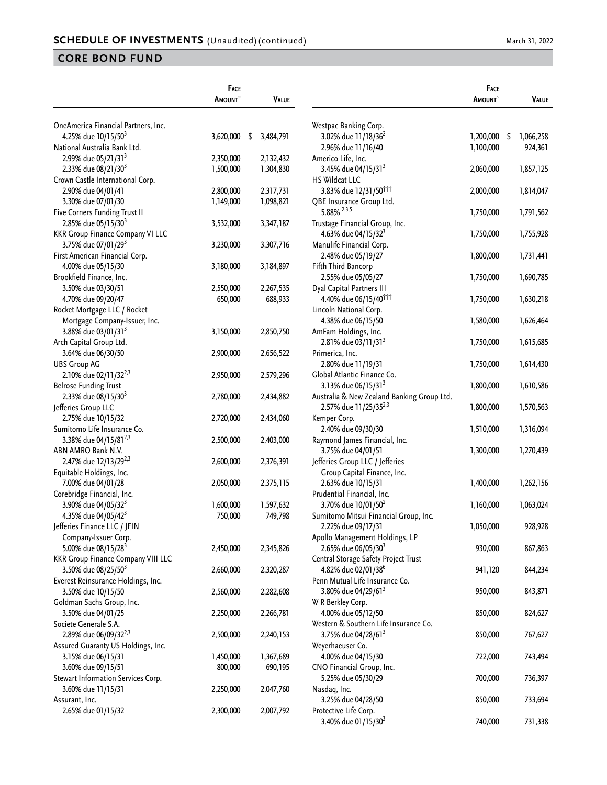|                                                                 | FACE<br>AMOUNT <sup>~</sup> |      | <b>VALUE</b> |                                                   | FACE<br><b>AMOUNT</b> | <b>VALUE</b>    |
|-----------------------------------------------------------------|-----------------------------|------|--------------|---------------------------------------------------|-----------------------|-----------------|
| OneAmerica Financial Partners, Inc.                             |                             |      |              | Westpac Banking Corp.                             |                       |                 |
| 4.25% due 10/15/50 <sup>3</sup>                                 | 3,620,000                   | - \$ | 3,484,791    | 3.02% due 11/18/36 <sup>2</sup>                   | 1,200,000             | \$<br>1,066,258 |
| National Australia Bank Ltd.                                    |                             |      |              | 2.96% due 11/16/40                                | 1,100,000             | 924,361         |
| 2.99% due 05/21/31 <sup>3</sup>                                 | 2,350,000                   |      | 2,132,432    | Americo Life, Inc.                                |                       |                 |
| 2.33% due 08/21/30 <sup>3</sup>                                 | 1,500,000                   |      | 1,304,830    | 3.45% due 04/15/31 <sup>3</sup>                   | 2,060,000             | 1,857,125       |
| Crown Castle International Corp.                                |                             |      |              | <b>HS Wildcat LLC</b>                             |                       |                 |
| 2.90% due 04/01/41                                              | 2,800,000                   |      | 2,317,731    | 3.83% due 12/31/50 <sup>†††</sup>                 | 2,000,000             | 1,814,047       |
| 3.30% due 07/01/30                                              | 1,149,000                   |      | 1,098,821    | QBE Insurance Group Ltd.                          |                       |                 |
| Five Corners Funding Trust II                                   |                             |      |              | $5.88\%$ $^{2,3,5}$                               | 1,750,000             | 1,791,562       |
| 2.85% due 05/15/30 <sup>3</sup>                                 | 3,532,000                   |      | 3,347,187    | Trustage Financial Group, Inc.                    |                       |                 |
| <b>KKR Group Finance Company VI LLC</b>                         |                             |      |              | 4.63% due 04/15/32 <sup>3</sup>                   | 1,750,000             | 1,755,928       |
| 3.75% due 07/01/29 <sup>3</sup>                                 | 3,230,000                   |      | 3,307,716    | Manulife Financial Corp.                          |                       |                 |
| First American Financial Corp.                                  |                             |      |              | 2.48% due 05/19/27                                | 1,800,000             | 1,731,441       |
| 4.00% due 05/15/30                                              | 3,180,000                   |      | 3,184,897    | Fifth Third Bancorp                               |                       |                 |
| Brookfield Finance, Inc.                                        |                             |      |              | 2.55% due 05/05/27                                | 1,750,000             | 1,690,785       |
| 3.50% due 03/30/51                                              | 2,550,000                   |      | 2,267,535    | Dyal Capital Partners III                         |                       |                 |
| 4.70% due 09/20/47                                              | 650,000                     |      | 688,933      | 4.40% due 06/15/40 <sup>ttt</sup>                 | 1,750,000             | 1,630,218       |
| Rocket Mortgage LLC / Rocket                                    |                             |      |              | Lincoln National Corp.                            |                       |                 |
| Mortgage Company-Issuer, Inc.                                   |                             |      |              | 4.38% due 06/15/50                                | 1,580,000             | 1,626,464       |
| 3.88% due 03/01/31 <sup>3</sup>                                 | 3,150,000                   |      | 2,850,750    | AmFam Holdings, Inc.                              |                       |                 |
| Arch Capital Group Ltd.                                         |                             |      |              | 2.81% due 03/11/31 <sup>3</sup>                   | 1,750,000             | 1,615,685       |
| 3.64% due 06/30/50                                              | 2,900,000                   |      | 2,656,522    | Primerica, Inc.                                   |                       |                 |
| <b>UBS Group AG</b>                                             |                             |      |              | 2.80% due 11/19/31                                | 1,750,000             | 1,614,430       |
| 2.10% due 02/11/32 <sup>2,3</sup>                               | 2,950,000                   |      | 2,579,296    | Global Atlantic Finance Co.                       |                       |                 |
| <b>Belrose Funding Trust</b>                                    |                             |      |              | 3.13% due 06/15/31 <sup>3</sup>                   | 1,800,000             | 1,610,586       |
| 2.33% due 08/15/30 <sup>3</sup>                                 | 2,780,000                   |      | 2,434,882    | Australia & New Zealand Banking Group Ltd.        |                       |                 |
| Jefferies Group LLC                                             |                             |      |              | 2.57% due 11/25/35 <sup>2,3</sup>                 | 1,800,000             | 1,570,563       |
| 2.75% due 10/15/32                                              | 2,720,000                   |      | 2,434,060    | Kemper Corp.                                      |                       |                 |
| Sumitomo Life Insurance Co.                                     |                             |      |              | 2.40% due 09/30/30                                | 1,510,000             | 1,316,094       |
| 3.38% due 04/15/81 <sup>2,3</sup>                               | 2,500,000                   |      | 2,403,000    | Raymond James Financial, Inc.                     |                       |                 |
| ABN AMRO Bank N.V.                                              |                             |      |              | 3.75% due 04/01/51                                | 1,300,000             | 1,270,439       |
| 2.47% due 12/13/29 <sup>2,3</sup>                               | 2,600,000                   |      | 2,376,391    |                                                   |                       |                 |
| Equitable Holdings, Inc.                                        |                             |      |              | Jefferies Group LLC / Jefferies                   |                       |                 |
|                                                                 | 2,050,000                   |      | 2,375,115    | Group Capital Finance, Inc.<br>2.63% due 10/15/31 | 1,400,000             | 1,262,156       |
| 7.00% due 04/01/28                                              |                             |      |              | Prudential Financial, Inc.                        |                       |                 |
| Corebridge Financial, Inc.<br>3.90% due 04/05/32 <sup>3</sup>   | 1,600,000                   |      | 1,597,632    | 3.70% due 10/01/50 <sup>2</sup>                   | 1,160,000             | 1,063,024       |
|                                                                 |                             |      |              | Sumitomo Mitsui Financial Group, Inc.             |                       |                 |
| 4.35% due 04/05/42 <sup>3</sup><br>Jefferies Finance LLC / JFIN | 750,000                     |      | 749,798      |                                                   | 1,050,000             |                 |
|                                                                 |                             |      |              | 2.22% due 09/17/31                                |                       | 928,928         |
| Company-Issuer Corp.                                            |                             |      |              | Apollo Management Holdings, LP                    |                       |                 |
| 5.00% due 08/15/28 <sup>3</sup>                                 | 2,450,000                   |      | 2,345,826    | 2.65% due 06/05/30 <sup>3</sup>                   | 930,000               | 867,863         |
| <b>KKR Group Finance Company VIII LLC</b>                       |                             |      |              | Central Storage Safety Project Trust              |                       |                 |
| 3.50% due 08/25/50 <sup>3</sup>                                 | 2,660,000                   |      | 2,320,287    | 4.82% due 02/01/38 <sup>6</sup>                   | 941,120               | 844,234         |
| Everest Reinsurance Holdings, Inc.                              |                             |      |              | Penn Mutual Life Insurance Co.                    |                       |                 |
| 3.50% due 10/15/50                                              | 2,560,000                   |      | 2,282,608    | 3.80% due 04/29/61 <sup>3</sup>                   | 950,000               | 843,871         |
| Goldman Sachs Group, Inc.                                       |                             |      |              | W R Berkley Corp.                                 |                       |                 |
| 3.50% due 04/01/25                                              | 2,250,000                   |      | 2,266,781    | 4.00% due 05/12/50                                | 850,000               | 824,627         |
| Societe Generale S.A.                                           |                             |      |              | Western & Southern Life Insurance Co.             |                       |                 |
| 2.89% due 06/09/32 <sup>2,3</sup>                               | 2,500,000                   |      | 2,240,153    | 3.75% due 04/28/61 <sup>3</sup>                   | 850,000               | 767,627         |
| Assured Guaranty US Holdings, Inc.                              |                             |      |              | Weyerhaeuser Co.                                  |                       |                 |
| 3.15% due 06/15/31                                              | 1,450,000                   |      | 1,367,689    | 4.00% due 04/15/30                                | 722,000               | 743,494         |
| 3.60% due 09/15/51                                              | 800,000                     |      | 690,195      | CNO Financial Group, Inc.                         |                       |                 |
| Stewart Information Services Corp.                              |                             |      |              | 5.25% due 05/30/29                                | 700,000               | 736,397         |
| 3.60% due 11/15/31                                              | 2,250,000                   |      | 2,047,760    | Nasdaq, Inc.                                      |                       |                 |
| Assurant, Inc.                                                  |                             |      |              | 3.25% due 04/28/50                                | 850,000               | 733,694         |
| 2.65% due 01/15/32                                              | 2,300,000                   |      | 2,007,792    | Protective Life Corp.                             |                       |                 |
|                                                                 |                             |      |              | 3.40% due 01/15/30 <sup>3</sup>                   | 740,000               | 731,338         |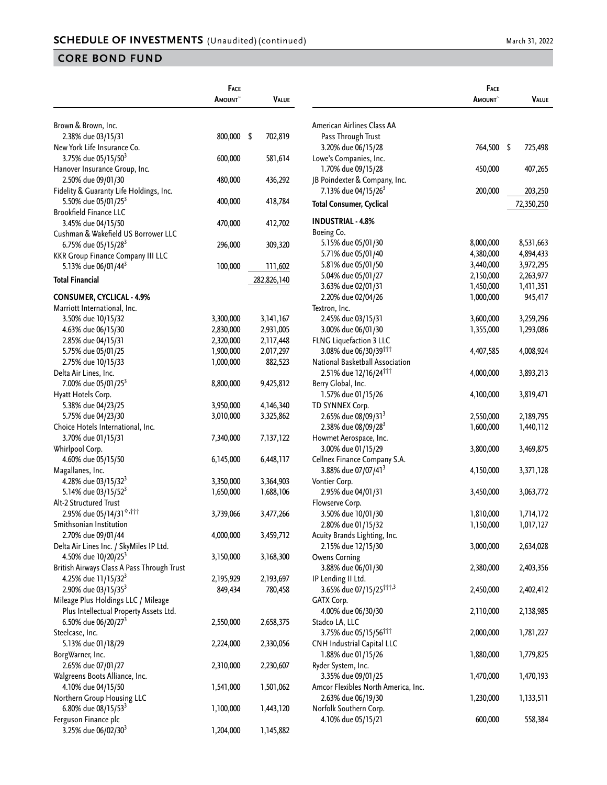|                                             | FACE<br><b>A</b> mount~ |      | <b>VALUE</b> |                                     | FACE<br>AMOUNT~ | <b>VALUE</b> |
|---------------------------------------------|-------------------------|------|--------------|-------------------------------------|-----------------|--------------|
| Brown & Brown, Inc.                         |                         |      |              | American Airlines Class AA          |                 |              |
| 2.38% due 03/15/31                          | 800,000                 | - \$ | 702,819      | Pass Through Trust                  |                 |              |
| New York Life Insurance Co.                 |                         |      |              | 3.20% due 06/15/28                  | 764,500 \$      | 725,498      |
| 3.75% due 05/15/50 <sup>3</sup>             | 600,000                 |      | 581,614      | Lowe's Companies, Inc.              |                 |              |
| Hanover Insurance Group, Inc.               |                         |      |              | 1.70% due 09/15/28                  | 450,000         | 407,265      |
| 2.50% due 09/01/30                          | 480,000                 |      | 436,292      | JB Poindexter & Company, Inc.       |                 |              |
| Fidelity & Guaranty Life Holdings, Inc.     |                         |      |              | 7.13% due 04/15/26 <sup>3</sup>     | 200,000         | 203,250      |
| 5.50% due 05/01/25 <sup>3</sup>             | 400,000                 |      | 418,784      |                                     |                 |              |
| <b>Brookfield Finance LLC</b>               |                         |      |              | <b>Total Consumer, Cyclical</b>     |                 | 72,350,250   |
| 3.45% due 04/15/50                          | 470,000                 |      | 412,702      | <b>INDUSTRIAL - 4.8%</b>            |                 |              |
| Cushman & Wakefield US Borrower LLC         |                         |      |              | Boeing Co.                          |                 |              |
| 6.75% due 05/15/28 <sup>3</sup>             | 296,000                 |      | 309,320      | 5.15% due 05/01/30                  | 8,000,000       | 8,531,663    |
| <b>KKR Group Finance Company III LLC</b>    |                         |      |              | 5.71% due 05/01/40                  | 4,380,000       | 4,894,433    |
| 5.13% due 06/01/44 <sup>3</sup>             | 100,000                 |      | 111,602      | 5.81% due 05/01/50                  | 3,440,000       | 3,972,295    |
|                                             |                         |      |              | 5.04% due 05/01/27                  | 2,150,000       | 2,263,977    |
| <b>Total Financial</b>                      |                         |      | 282,826,140  | 3.63% due 02/01/31                  | 1,450,000       | 1,411,351    |
| <b>CONSUMER, CYCLICAL - 4.9%</b>            |                         |      |              | 2.20% due 02/04/26                  | 1,000,000       | 945,417      |
| Marriott International, Inc.                |                         |      |              | Textron, Inc.                       |                 |              |
| 3.50% due 10/15/32                          | 3,300,000               |      | 3,141,167    | 2.45% due 03/15/31                  | 3,600,000       | 3,259,296    |
| 4.63% due 06/15/30                          | 2,830,000               |      | 2,931,005    | 3.00% due 06/01/30                  | 1,355,000       | 1,293,086    |
| 2.85% due 04/15/31                          | 2,320,000               |      | 2,117,448    | FLNG Liquefaction 3 LLC             |                 |              |
|                                             |                         |      |              | 3.08% due 06/30/39 <sup>ttt</sup>   |                 |              |
| 5.75% due 05/01/25                          | 1,900,000               |      | 2,017,297    | National Basketball Association     | 4,407,585       | 4,008,924    |
| 2.75% due 10/15/33<br>Delta Air Lines, Inc. | 1,000,000               |      | 882,523      |                                     |                 |              |
|                                             |                         |      |              | 2.51% due 12/16/24 <sup>†††</sup>   | 4,000,000       | 3,893,213    |
| 7.00% due 05/01/25 <sup>3</sup>             | 8,800,000               |      | 9,425,812    | Berry Global, Inc.                  |                 |              |
| Hyatt Hotels Corp.                          |                         |      |              | 1.57% due 01/15/26                  | 4,100,000       | 3,819,471    |
| 5.38% due 04/23/25                          | 3,950,000               |      | 4,146,340    | TD SYNNEX Corp.                     |                 |              |
| 5.75% due 04/23/30                          | 3,010,000               |      | 3,325,862    | 2.65% due 08/09/31 <sup>3</sup>     | 2,550,000       | 2,189,795    |
| Choice Hotels International, Inc.           |                         |      |              | 2.38% due 08/09/28 <sup>3</sup>     | 1,600,000       | 1,440,112    |
| 3.70% due 01/15/31                          | 7,340,000               |      | 7,137,122    | Howmet Aerospace, Inc.              |                 |              |
| Whirlpool Corp.                             |                         |      |              | 3.00% due 01/15/29                  | 3,800,000       | 3,469,875    |
| 4.60% due 05/15/50                          | 6,145,000               |      | 6,448,117    | Cellnex Finance Company S.A.        |                 |              |
| Magallanes, Inc.                            |                         |      |              | 3.88% due 07/07/41 <sup>3</sup>     | 4,150,000       | 3,371,128    |
| 4.28% due 03/15/32 <sup>3</sup>             | 3,350,000               |      | 3,364,903    | Vontier Corp.                       |                 |              |
| 5.14% due 03/15/52 <sup>3</sup>             | 1,650,000               |      | 1,688,106    | 2.95% due 04/01/31                  | 3,450,000       | 3,063,772    |
| Alt-2 Structured Trust                      |                         |      |              | Flowserve Corp.                     |                 |              |
| 2.95% due 05/14/31 <sup>6,†††</sup>         | 3,739,066               |      | 3,477,266    | 3.50% due 10/01/30                  | 1,810,000       | 1,714,172    |
| Smithsonian Institution                     |                         |      |              | 2.80% due 01/15/32                  | 1,150,000       | 1,017,127    |
| 2.70% due 09/01/44                          | 4,000,000               |      | 3,459,712    | Acuity Brands Lighting, Inc.        |                 |              |
| Delta Air Lines Inc. / SkyMiles IP Ltd.     |                         |      |              | 2.15% due 12/15/30                  | 3,000,000       | 2,634,028    |
| 4.50% due 10/20/25 <sup>3</sup>             | 3,150,000               |      | 3,168,300    | <b>Owens Corning</b>                |                 |              |
| British Airways Class A Pass Through Trust  |                         |      |              | 3.88% due 06/01/30                  | 2,380,000       | 2,403,356    |
| 4.25% due 11/15/32 <sup>3</sup>             | 2,195,929               |      | 2,193,697    | IP Lending II Ltd.                  |                 |              |
| 2.90% due 03/15/35 <sup>3</sup>             | 849,434                 |      | 780,458      | 3.65% due 07/15/25 <sup>†††,3</sup> | 2,450,000       | 2,402,412    |
| Mileage Plus Holdings LLC / Mileage         |                         |      |              | GATX Corp.                          |                 |              |
| Plus Intellectual Property Assets Ltd.      |                         |      |              | 4.00% due 06/30/30                  | 2,110,000       | 2,138,985    |
| 6.50% due 06/20/27 <sup>3</sup>             | 2,550,000               |      | 2,658,375    | Stadco LA, LLC                      |                 |              |
| Steelcase, Inc.                             |                         |      |              | 3.75% due 05/15/56 <sup>†††</sup>   | 2,000,000       | 1,781,227    |
| 5.13% due 01/18/29                          | 2,224,000               |      | 2,330,056    | CNH Industrial Capital LLC          |                 |              |
| BorgWarner, Inc.                            |                         |      |              | 1.88% due 01/15/26                  | 1,880,000       | 1,779,825    |
| 2.65% due 07/01/27                          | 2,310,000               |      | 2,230,607    | Ryder System, Inc.                  |                 |              |
| Walgreens Boots Alliance, Inc.              |                         |      |              | 3.35% due 09/01/25                  | 1,470,000       | 1,470,193    |
| 4.10% due 04/15/50                          | 1,541,000               |      | 1,501,062    | Amcor Flexibles North America, Inc. |                 |              |
| Northern Group Housing LLC                  |                         |      |              | 2.63% due 06/19/30                  | 1,230,000       | 1,133,511    |
| 6.80% due 08/15/53 <sup>3</sup>             | 1,100,000               |      | 1,443,120    | Norfolk Southern Corp.              |                 |              |
| Ferguson Finance plc                        |                         |      |              | 4.10% due 05/15/21                  | 600,000         | 558,384      |
| 3.25% due 06/02/30 <sup>3</sup>             | 1,204,000               |      | 1,145,882    |                                     |                 |              |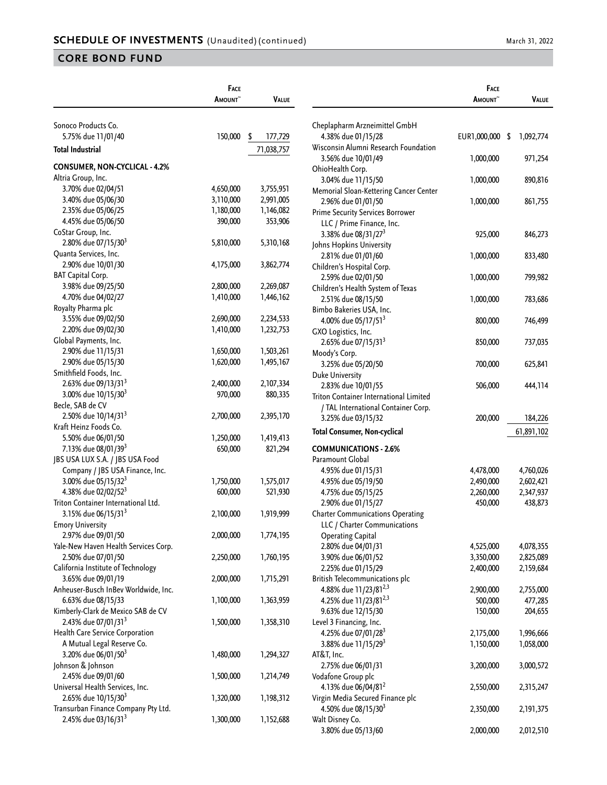|                                                                        | <b>FACE</b>     |               |
|------------------------------------------------------------------------|-----------------|---------------|
|                                                                        | <b>A</b> MOUNT~ | <b>VALUE</b>  |
|                                                                        |                 |               |
| Sonoco Products Co.                                                    |                 |               |
| 5.75% due 11/01/40                                                     | 150,000         | \$<br>177,729 |
| <b>Total Industrial</b>                                                |                 | 71,038,757    |
| <b>CONSUMER, NON-CYCLICAL - 4.2%</b>                                   |                 |               |
| Altria Group, Inc.                                                     |                 |               |
| 3.70% due 02/04/51                                                     | 4,650,000       | 3,755,951     |
| 3.40% due 05/06/30                                                     | 3,110,000       | 2,991,005     |
| 2.35% due 05/06/25                                                     | 1,180,000       | 1,146,082     |
| 4.45% due 05/06/50                                                     | 390,000         | 353,906       |
| CoStar Group, Inc.                                                     |                 |               |
| 2.80% due 07/15/30 <sup>3</sup>                                        | 5,810,000       | 5,310,168     |
| Quanta Services, Inc.                                                  |                 |               |
| 2.90% due 10/01/30                                                     | 4,175,000       | 3,862,774     |
| <b>BAT Capital Corp.</b>                                               |                 |               |
| 3.98% due 09/25/50                                                     | 2,800,000       | 2,269,087     |
| 4.70% due 04/02/27                                                     | 1,410,000       | 1,446,162     |
| Royalty Pharma plc                                                     |                 |               |
| 3.55% due 09/02/50                                                     | 2,690,000       | 2,234,533     |
| 2.20% due 09/02/30                                                     | 1,410,000       | 1,232,753     |
| Global Payments, Inc.                                                  |                 |               |
| 2.90% due 11/15/31                                                     | 1,650,000       | 1,503,261     |
| 2.90% due 05/15/30                                                     | 1,620,000       | 1,495,167     |
| Smithfield Foods, Inc.                                                 |                 |               |
| 2.63% due 09/13/31 <sup>3</sup>                                        | 2,400,000       | 2,107,334     |
| 3.00% due 10/15/30 <sup>3</sup>                                        | 970,000         | 880,335       |
| Becle, SAB de CV                                                       |                 |               |
| 2.50% due 10/14/31 <sup>3</sup>                                        | 2,700,000       | 2,395,170     |
| Kraft Heinz Foods Co.                                                  |                 |               |
| 5.50% due 06/01/50                                                     | 1,250,000       | 1,419,413     |
| 7.13% due 08/01/39 <sup>3</sup>                                        | 650,000         | 821,294       |
| JBS USA LUX S.A. / JBS USA Food                                        |                 |               |
| Company / JBS USA Finance, Inc.                                        |                 |               |
| 3.00% due 05/15/32 <sup>3</sup>                                        | 1,750,000       | 1,575,017     |
| 4.38% due 02/02/52 <sup>3</sup>                                        | 600,000         | 521,930       |
| Triton Container International Ltd.                                    |                 |               |
| 3.15% due 06/15/31 <sup>3</sup>                                        | 2,100,000       | 1,919,999     |
| <b>Emory University</b>                                                |                 |               |
| 2.97% due 09/01/50                                                     | 2,000,000       | 1,774,195     |
| Yale-New Haven Health Services Corp.                                   |                 |               |
| 2.50% due 07/01/50                                                     | 2,250,000       | 1,760,195     |
| California Institute of Technology                                     |                 |               |
| 3.65% due 09/01/19                                                     | 2,000,000       | 1,715,291     |
| Anheuser-Busch InBev Worldwide, Inc.                                   |                 |               |
| 6.63% due 08/15/33                                                     | 1,100,000       | 1,363,959     |
| Kimberly-Clark de Mexico SAB de CV                                     |                 |               |
| 2.43% due 07/01/31 <sup>3</sup>                                        | 1,500,000       | 1,358,310     |
| Health Care Service Corporation                                        |                 |               |
| A Mutual Legal Reserve Co.                                             |                 |               |
| 3.20% due 06/01/50 <sup>3</sup>                                        | 1,480,000       | 1,294,327     |
| Johnson & Johnson                                                      |                 |               |
| 2.45% due 09/01/60                                                     | 1,500,000       | 1,214,749     |
| Universal Health Services, Inc.                                        |                 |               |
|                                                                        |                 |               |
| 2.65% due 10/15/30 <sup>3</sup><br>Transurban Finance Company Pty Ltd. | 1,320,000       | 1,198,312     |
|                                                                        |                 |               |
| 2.45% due 03/16/31 <sup>3</sup>                                        | 1,300,000       | 1,152,688     |

|                                                               | <b>FACE</b>   |                 |
|---------------------------------------------------------------|---------------|-----------------|
|                                                               | <b>AMOUNT</b> | <b>VALUE</b>    |
| Cheplapharm Arzneimittel GmbH                                 |               |                 |
| 4.38% due 01/15/28                                            | EUR1,000,000  | \$<br>1,092,774 |
| Wisconsin Alumni Research Foundation                          |               |                 |
| 3.56% due 10/01/49                                            | 1,000,000     | 971,254         |
| OhioHealth Corp.                                              |               |                 |
| 3.04% due 11/15/50                                            | 1,000,000     | 890,816         |
| Memorial Sloan-Kettering Cancer Center                        |               |                 |
| 2.96% due 01/01/50                                            | 1,000,000     | 861,755         |
| <b>Prime Security Services Borrower</b>                       |               |                 |
| LLC / Prime Finance, Inc.                                     |               |                 |
| 3.38% due 08/31/27 <sup>3</sup>                               | 925,000       | 846,273         |
| Johns Hopkins University                                      |               |                 |
| 2.81% due 01/01/60<br>Children's Hospital Corp.               | 1,000,000     | 833,480         |
| 2.59% due 02/01/50                                            | 1,000,000     | 799,982         |
| Children's Health System of Texas                             |               |                 |
| 2.51% due 08/15/50                                            | 1,000,000     | 783,686         |
| Bimbo Bakeries USA, Inc.                                      |               |                 |
| 4.00% due 05/17/51 <sup>3</sup>                               | 800,000       | 746,499         |
| GXO Logistics, Inc.                                           |               |                 |
| 2.65% due 07/15/31 <sup>3</sup>                               | 850,000       | 737,035         |
| Moody's Corp.                                                 |               |                 |
| 3.25% due 05/20/50                                            | 700,000       | 625,841         |
| Duke University                                               |               |                 |
| 2.83% due 10/01/55                                            | 506,000       | 444,114         |
| Triton Container International Limited                        |               |                 |
| / TAL International Container Corp.                           |               |                 |
| 3.25% due 03/15/32                                            | 200,000       | 184,226         |
| Total Consumer, Non-cyclical                                  |               | 61,891,102      |
| <b>COMMUNICATIONS - 2.6%</b>                                  |               |                 |
| Paramount Global                                              |               |                 |
| 4.95% due 01/15/31                                            | 4,478,000     | 4,760,026       |
| 4.95% due 05/19/50                                            | 2,490,000     | 2,602,421       |
| 4.75% due 05/15/25                                            | 2,260,000     | 2,347,937       |
| 2.90% due 01/15/27<br><b>Charter Communications Operating</b> | 450,000       | 438,873         |
| LLC / Charter Communications                                  |               |                 |
| <b>Operating Capital</b>                                      |               |                 |
| 2.80% due 04/01/31                                            | 4,525,000     | 4,078,355       |
| 3.90% due 06/01/52                                            | 3,350,000     | 2,825,089       |
| 2.25% due 01/15/29                                            | 2,400,000     | 2,159,684       |
| British Telecommunications plc                                |               |                 |
| 4.88% due 11/23/81 <sup>2,3</sup>                             | 2,900,000     | 2,755,000       |
| 4.25% due 11/23/81 <sup>2,3</sup>                             | 500,000       | 477,285         |
| 9.63% due 12/15/30                                            | 150,000       | 204,655         |
| Level 3 Financing, Inc.                                       |               |                 |
| 4.25% due 07/01/28 <sup>3</sup>                               | 2,175,000     | 1,996,666       |
| 3.88% due 11/15/29 <sup>3</sup>                               | 1,150,000     | 1,058,000       |
| AT&T, Inc.                                                    |               |                 |
| 2.75% due 06/01/31                                            | 3,200,000     | 3,000,572       |
| Vodafone Group plc<br>4.13% due 06/04/81 <sup>2</sup>         | 2,550,000     | 2,315,247       |
| Virgin Media Secured Finance plc                              |               |                 |
| 4.50% due 08/15/30 <sup>3</sup>                               | 2,350,000     | 2,191,375       |
| Walt Disney Co.                                               |               |                 |
| 3.80% due 05/13/60                                            | 2,000,000     | 2,012,510       |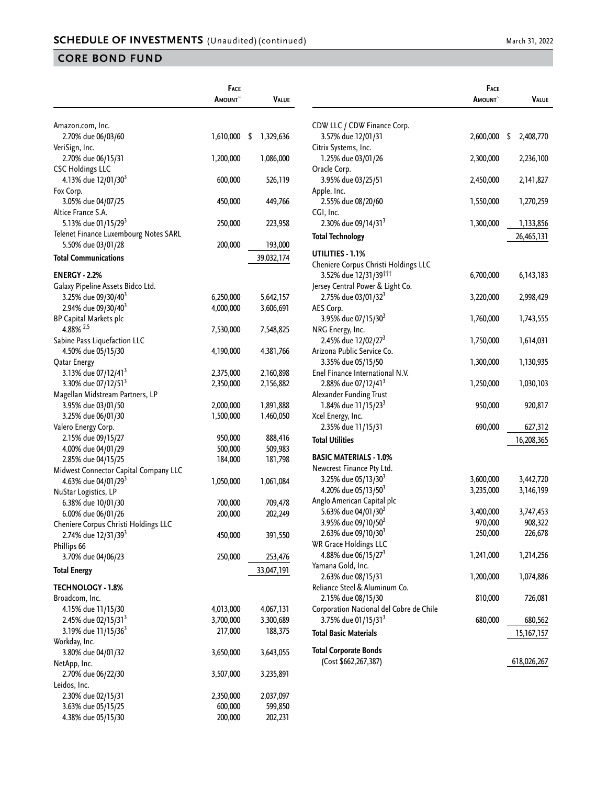|                                                       | <b>FACE</b>          |                 |
|-------------------------------------------------------|----------------------|-----------------|
|                                                       | <b>A</b> mount~      | VALUE           |
|                                                       |                      |                 |
| Amazon.com, Inc.                                      |                      |                 |
| 2.70% due 06/03/60                                    | 1,610,000            | \$<br>1,329,636 |
| VeriSign, Inc.                                        |                      |                 |
| 2.70% due 06/15/31                                    | 1,200,000            | 1,086,000       |
| <b>CSC Holdings LLC</b>                               |                      |                 |
| 4.13% due 12/01/30 <sup>3</sup>                       | 600,000              | 526,119         |
| Fox Corp.                                             |                      |                 |
| 3.05% due 04/07/25                                    | 450,000              | 449,766         |
| Altice France S.A.                                    |                      |                 |
| 5.13% due 01/15/29 <sup>3</sup>                       | 250,000              | 223,958         |
| Telenet Finance Luxembourg Notes SARL                 |                      |                 |
| 5.50% due 03/01/28                                    | 200,000              | 193,000         |
| <b>Total Communications</b>                           |                      | 39,032,174      |
|                                                       |                      |                 |
| <b>ENERGY - 2.2%</b>                                  |                      |                 |
| Galaxy Pipeline Assets Bidco Ltd.                     |                      |                 |
| 3.25% due 09/30/40 <sup>3</sup>                       | 6,250,000            | 5,642,157       |
| 2.94% due 09/30/40 <sup>3</sup>                       | 4,000,000            | 3,606,691       |
| <b>BP Capital Markets plc</b>                         |                      |                 |
| 4.88% $^{2,5}$                                        | 7,530,000            | 7,548,825       |
| Sabine Pass Liquefaction LLC                          |                      |                 |
| 4.50% due 05/15/30                                    | 4,190,000            | 4,381,766       |
| Qatar Energy                                          |                      |                 |
| 3.13% due 07/12/41 <sup>3</sup>                       | 2,375,000            | 2,160,898       |
| 3.30% due 07/12/51 <sup>3</sup>                       | 2,350,000            | 2,156,882       |
| Magellan Midstream Partners, LP                       |                      |                 |
| 3.95% due 03/01/50                                    | 2,000,000            | 1,891,888       |
| 3.25% due 06/01/30                                    | 1,500,000            | 1,460,050       |
| Valero Energy Corp.                                   |                      |                 |
| 2.15% due 09/15/27                                    | 950,000              | 888,416         |
| 4.00% due 04/01/29                                    | 500,000              | 509,983         |
| 2.85% due 04/15/25                                    | 184,000              | 181,798         |
| Midwest Connector Capital Company LLC                 |                      |                 |
| 4.63% due 04/01/29 <sup>3</sup>                       | 1,050,000            | 1,061,084       |
| NuStar Logistics, LP                                  |                      |                 |
| 6.38% due 10/01/30                                    | 700,000              | 709,478         |
| 6.00% due 06/01/26                                    | 200,000              | 202,249         |
| Cheniere Corpus Christi Holdings LLC                  |                      |                 |
| 2.74% due 12/31/39 <sup>3</sup>                       | 450,000              | 391,550         |
| Phillips 66                                           |                      |                 |
| 3.70% due 04/06/23                                    | 250,000              | 253,476         |
| <b>Total Energy</b>                                   |                      | 33,047,191      |
|                                                       |                      |                 |
| <b>TECHNOLOGY - 1.8%</b>                              |                      |                 |
| Broadcom, Inc.                                        |                      |                 |
| 4.15% due 11/15/30<br>2.45% due 02/15/31 <sup>3</sup> | 4,013,000            | 4,067,131       |
|                                                       | 3,700,000<br>217,000 | 3,300,689       |
| 3.19% due 11/15/36 <sup>3</sup>                       |                      | 188,375         |
| Workday, Inc.                                         |                      |                 |
| 3.80% due 04/01/32                                    | 3,650,000            | 3,643,055       |
| NetApp, Inc.                                          |                      |                 |
| 2.70% due 06/22/30                                    | 3,507,000            | 3,235,891       |
| Leidos, Inc.                                          |                      |                 |
| 2.30% due 02/15/31                                    | 2,350,000            | 2,037,097       |
| 3.63% due 05/15/25                                    | 600,000              | 599,850         |
| 4.38% due 05/15/30                                    | 200,000              | 202,231         |

|                                                                            | Face<br>AMOUNT <sup>~</sup> | VALUE           |
|----------------------------------------------------------------------------|-----------------------------|-----------------|
|                                                                            |                             |                 |
| CDW LLC / CDW Finance Corp.                                                |                             |                 |
| 3.57% due 12/01/31                                                         | 2,600,000                   | \$<br>2,408,770 |
| Citrix Systems, Inc.<br>1.25% due 03/01/26                                 | 2,300,000                   | 2,236,100       |
| Oracle Corp.                                                               |                             |                 |
| 3.95% due 03/25/51                                                         | 2,450,000                   | 2,141,827       |
| Apple, Inc.                                                                |                             |                 |
| 2.55% due 08/20/60                                                         | 1,550,000                   | 1,270,259       |
| CGI, Inc.                                                                  |                             |                 |
| 2.30% due 09/14/31 <sup>3</sup>                                            | 1,300,000                   | 1,133,856       |
| <b>Total Technology</b>                                                    |                             | 26,465,131      |
| UTILITIES - 1.1%                                                           |                             |                 |
| Cheniere Corpus Christi Holdings LLC                                       |                             |                 |
| 3.52% due 12/31/39 <sup>†††</sup>                                          | 6,700,000                   | 6, 143, 183     |
| Jersey Central Power & Light Co.                                           |                             |                 |
| 2.75% due 03/01/32 <sup>3</sup>                                            | 3,220,000                   | 2,998,429       |
| AES Corp.                                                                  |                             |                 |
| 3.95% due 07/15/30 <sup>3</sup><br>NRG Energy, Inc.                        | 1,760,000                   | 1,743,555       |
| 2.45% due 12/02/27 <sup>3</sup>                                            | 1,750,000                   | 1,614,031       |
| Arizona Public Service Co.                                                 |                             |                 |
| 3.35% due 05/15/50                                                         | 1,300,000                   | 1,130,935       |
| Enel Finance International N.V.                                            |                             |                 |
| 2.88% due 07/12/41 <sup>3</sup>                                            | 1,250,000                   | 1,030,103       |
| Alexander Funding Trust                                                    |                             |                 |
| 1.84% due 11/15/23 <sup>3</sup>                                            | 950,000                     | 920,817         |
| Xcel Energy, Inc.                                                          |                             |                 |
| 2.35% due 11/15/31                                                         | 690,000                     | 627,312         |
| <b>Total Utilities</b>                                                     |                             | 16,208,365      |
| BASIC MATERIALS - 1.0%                                                     |                             |                 |
| Newcrest Finance Pty Ltd.                                                  |                             |                 |
| 3.25% due 05/13/30 <sup>3</sup>                                            | 3,600,000                   | 3,442,720       |
| 4.20% due 05/13/50 <sup>3</sup>                                            | 3,235,000                   | 3,146,199       |
| Anglo American Capital plc<br>5.63% due 04/01/30 <sup>3</sup>              | 3,400,000                   | 3,747,453       |
| 3.95% due 09/10/50 <sup>3</sup>                                            | 970,000                     | 908,322         |
| 2.63% due 09/10/30 <sup>3</sup>                                            | 250,000                     | 226,678         |
| <b>WR Grace Holdings LLC</b>                                               |                             |                 |
| 4.88% due 06/15/27 <sup>3</sup>                                            | 1,241,000                   | 1,214,256       |
| Yamana Gold, Inc.                                                          |                             |                 |
| 2.63% due 08/15/31                                                         | 1,200,000                   | 1,074,886       |
| Reliance Steel & Aluminum Co.                                              |                             |                 |
| 2.15% due 08/15/30                                                         | 810,000                     | 726,081         |
| Corporation Nacional del Cobre de Chile<br>3.75% due 01/15/31 <sup>3</sup> | 680,000                     |                 |
| <b>Total Basic Materials</b>                                               |                             | 680,562         |
|                                                                            |                             | 15,167,157      |
| <b>Total Corporate Bonds</b>                                               |                             |                 |
| (Cost \$662,267,387)                                                       |                             | 618,026,267     |
|                                                                            |                             |                 |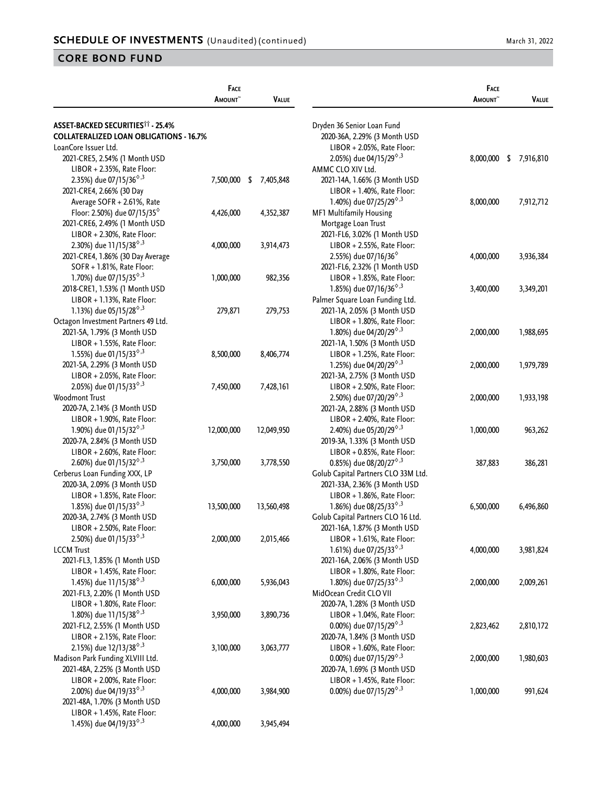|                                                             | FACE<br><b>AMOUNT</b> | <b>VALUE</b>    |                                                                    | FACE<br><b>A</b> MOUNT~ | <b>VALUE</b> |
|-------------------------------------------------------------|-----------------------|-----------------|--------------------------------------------------------------------|-------------------------|--------------|
| <b>ASSET-BACKED SECURITIES<sup>11</sup> - 25.4%</b>         |                       |                 | Dryden 36 Senior Loan Fund                                         |                         |              |
| <b>COLLATERALIZED LOAN OBLIGATIONS - 16.7%</b>              |                       |                 | 2020-36A, 2.29% (3 Month USD                                       |                         |              |
| LoanCore Issuer Ltd.                                        |                       |                 | LIBOR + 2.05%, Rate Floor:                                         |                         |              |
|                                                             |                       |                 | 2.05%) due 04/15/29 <sup><math>\diamond</math>,3</sup>             | 8,000,000               | \$7,916,810  |
| 2021-CRE5, 2.54% (1 Month USD                               |                       |                 |                                                                    |                         |              |
| $LIBOR + 2.35\%$ , Rate Floor:                              |                       |                 | AMMC CLO XIV Ltd.                                                  |                         |              |
| 2.35%) due 07/15/36 <sup><math>\diamond</math>,3</sup>      | 7,500,000             | 7,405,848<br>\$ | 2021-14A, 1.66% (3 Month USD                                       |                         |              |
| 2021-CRE4, 2.66% (30 Day                                    |                       |                 | LIBOR + 1.40%, Rate Floor:                                         |                         |              |
| Average SOFR + 2.61%, Rate                                  |                       |                 | 1.40%) due 07/25/29 <sup><math>\diamond</math>,3</sup>             | 8,000,000               | 7,912,712    |
| Floor: 2.50%) due 07/15/35 <sup><math>\diamond</math></sup> | 4,426,000             | 4,352,387       | MF1 Multifamily Housing                                            |                         |              |
| 2021-CRE6, 2.49% (1 Month USD                               |                       |                 | Mortgage Loan Trust                                                |                         |              |
| LIBOR + 2.30%, Rate Floor:                                  |                       |                 | 2021-FL6, 3.02% (1 Month USD                                       |                         |              |
| 2.30%) due 11/15/38 <sup><math>\diamond</math>,3</sup>      | 4,000,000             | 3,914,473       | $LIBOR + 2.55\%$ , Rate Floor:                                     |                         |              |
| 2021-CRE4, 1.86% (30 Day Average                            |                       |                 | 2.55%) due 07/16/36 <sup>6</sup>                                   | 4,000,000               | 3,936,384    |
| SOFR + 1.81%, Rate Floor:                                   |                       |                 | 2021-FL6, 2.32% (1 Month USD                                       |                         |              |
| 1.70%) due 07/15/35 $^{\diamond,3}$                         | 1,000,000             | 982,356         | LIBOR + 1.85%, Rate Floor:                                         |                         |              |
| 2018-CRE1, 1.53% (1 Month USD                               |                       |                 | 1.85%) due 07/16/36 <sup><math>\diamond</math>,3</sup>             | 3,400,000               | 3,349,201    |
| LIBOR + 1.13%, Rate Floor:                                  |                       |                 | Palmer Square Loan Funding Ltd.                                    |                         |              |
| 1.13%) due 05/15/28 <sup><math>\diamond</math>,3</sup>      | 279,871               | 279,753         | 2021-1A, 2.05% (3 Month USD                                        |                         |              |
| Octagon Investment Partners 49 Ltd.                         |                       |                 | LIBOR + 1.80%, Rate Floor:                                         |                         |              |
| 2021-5A, 1.79% (3 Month USD                                 |                       |                 | 1.80%) due 04/20/29 <sup>6,3</sup>                                 | 2,000,000               | 1,988,695    |
| LIBOR + 1.55%, Rate Floor:                                  |                       |                 | 2021-1A, 1.50% (3 Month USD                                        |                         |              |
| 1.55%) due 01/15/33 <sup><math>\diamond</math>,3</sup>      | 8,500,000             | 8,406,774       | LIBOR + 1.25%, Rate Floor:                                         |                         |              |
| 2021-5A, 2.29% (3 Month USD                                 |                       |                 | 1.25%) due 04/20/29 <sup><math>\diamond</math>,3</sup>             | 2,000,000               | 1,979,789    |
| LIBOR + 2.05%, Rate Floor:                                  |                       |                 | 2021-3A, 2.75% (3 Month USD                                        |                         |              |
| 2.05%) due 01/15/33 <sup><math>\diamond</math>,3</sup>      | 7,450,000             | 7,428,161       | LIBOR + 2.50%, Rate Floor:                                         |                         |              |
| Woodmont Trust                                              |                       |                 | 2.50%) due 07/20/29 <sup>6,3</sup>                                 | 2,000,000               | 1,933,198    |
| 2020-7A, 2.14% (3 Month USD                                 |                       |                 | 2021-2A, 2.88% (3 Month USD                                        |                         |              |
| $LIBOR + 1.90\%$ , Rate Floor:                              |                       |                 | $LIBOR + 2.40\%$ , Rate Floor:                                     |                         |              |
| 1.90%) due 01/15/32 <sup><math>\diamond</math>,3</sup>      | 12,000,000            | 12,049,950      | 2.40%) due 05/20/29 <sup><math>\diamond</math>,3</sup>             | 1,000,000               | 963,262      |
| 2020-7A, 2.84% (3 Month USD                                 |                       |                 | 2019-3A, 1.33% (3 Month USD                                        |                         |              |
| LIBOR + 2.60%, Rate Floor:                                  |                       |                 | LIBOR + 0.85%, Rate Floor:                                         |                         |              |
| 2.60%) due 01/15/32 <sup><math>\diamond</math>,3</sup>      | 3,750,000             | 3,778,550       | 0.85%) due 08/20/27 <sup><math>\diamond</math>,3</sup>             | 387,883                 | 386,281      |
| Cerberus Loan Funding XXX, LP                               |                       |                 | Golub Capital Partners CLO 33M Ltd.                                |                         |              |
| 2020-3A, 2.09% (3 Month USD                                 |                       |                 | 2021-33A, 2.36% (3 Month USD                                       |                         |              |
| LIBOR + 1.85%, Rate Floor:                                  |                       |                 | LIBOR + 1.86%, Rate Floor:                                         |                         |              |
| 1.85%) due 01/15/33 <sup><math>\diamond</math>,3</sup>      | 13,500,000            |                 | 1.86%) due 08/25/33 <sup><math>\diamond</math>,3</sup>             | 6,500,000               | 6,496,860    |
|                                                             |                       | 13,560,498      |                                                                    |                         |              |
| 2020-3A, 2.74% (3 Month USD<br>LIBOR + 2.50%, Rate Floor:   |                       |                 | Golub Capital Partners CLO 16 Ltd.<br>2021-16A, 1.87% (3 Month USD |                         |              |
| 2.50%) due 01/15/33 <sup>6,3</sup>                          |                       | 2,015,466       |                                                                    |                         |              |
|                                                             | 2,000,000             |                 | LIBOR + 1.61%, Rate Floor:                                         |                         |              |
| <b>LCCM Trust</b>                                           |                       |                 | 1.61%) due 07/25/33 <sup><math>\diamond</math>,3</sup>             | 4,000,000               | 3,981,824    |
| 2021-FL3, 1.85% (1 Month USD                                |                       |                 | 2021-16A, 2.06% (3 Month USD                                       |                         |              |
| LIBOR + 1.45%, Rate Floor:                                  |                       |                 | LIBOR + 1.80%, Rate Floor:                                         |                         |              |
| 1.45%) due 11/15/38 <sup><math>\diamond</math>,3</sup>      | 6,000,000             | 5,936,043       | 1.80%) due 07/25/33 <sup><math>\diamond</math>,3</sup>             | 2,000,000               | 2,009,261    |
| 2021-FL3, 2.20% (1 Month USD                                |                       |                 | MidOcean Credit CLO VII                                            |                         |              |
| LIBOR + 1.80%, Rate Floor:                                  |                       |                 | 2020-7A, 1.28% (3 Month USD                                        |                         |              |
| 1.80%) due 11/15/38 <sup>6,3</sup>                          | 3,950,000             | 3,890,736       | LIBOR + 1.04%, Rate Floor:                                         |                         |              |
| 2021-FL2, 2.55% (1 Month USD                                |                       |                 | 0.00%) due 07/15/29 <sup><math>\diamond</math>,3</sup>             | 2,823,462               | 2,810,172    |
| LIBOR + 2.15%, Rate Floor:                                  |                       |                 | 2020-7A, 1.84% (3 Month USD                                        |                         |              |
| 2.15%) due 12/13/38 <sup><math>\diamond</math>,3</sup>      | 3,100,000             | 3,063,777       | LIBOR + 1.60%, Rate Floor:                                         |                         |              |
| Madison Park Funding XLVIII Ltd.                            |                       |                 | 0.00%) due 07/15/29 $^{\circ}$ ,3                                  | 2,000,000               | 1,980,603    |
| 2021-48A, 2.25% (3 Month USD                                |                       |                 | 2020-7A, 1.69% (3 Month USD                                        |                         |              |
| LIBOR + 2.00%, Rate Floor:                                  |                       |                 | LIBOR + 1.45%, Rate Floor:                                         |                         |              |
| 2.00%) due 04/19/33 <sup>6,3</sup>                          | 4,000,000             | 3,984,900       | 0.00%) due 07/15/29 <sup><math>\diamond</math>,3</sup>             | 1,000,000               | 991,624      |
| 2021-48A, 1.70% (3 Month USD                                |                       |                 |                                                                    |                         |              |
| LIBOR + 1.45%, Rate Floor:                                  |                       |                 |                                                                    |                         |              |
| 1.45%) due 04/19/33 <sup><math>\diamond</math>,3</sup>      | 4,000,000             | 3,945,494       |                                                                    |                         |              |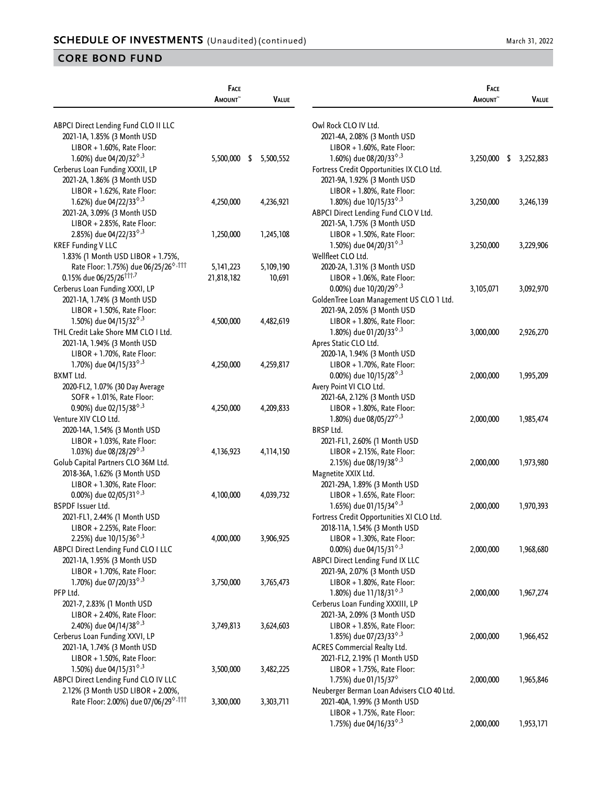|                                                                                       | FACE<br><b>A</b> MOUNT~ | <b>VALUE</b> |                                                                            | FACE<br>AMOUNT <sup>~</sup> | VALUE           |
|---------------------------------------------------------------------------------------|-------------------------|--------------|----------------------------------------------------------------------------|-----------------------------|-----------------|
|                                                                                       |                         |              |                                                                            |                             |                 |
| ABPCI Direct Lending Fund CLO II LLC                                                  |                         |              | Owl Rock CLO IV Ltd.<br>2021-4A, 2.08% (3 Month USD                        |                             |                 |
| 2021-1A, 1.85% (3 Month USD                                                           |                         |              |                                                                            |                             |                 |
| $LIBOR + 1.60\%$ , Rate Floor:                                                        |                         |              | $LIBOR + 1.60\%$ , Rate Floor:                                             |                             |                 |
| 1.60%) due 04/20/32 <sup><math>\diamond</math>,3</sup>                                | 5,500,000 \$            | 5,500,552    | 1.60%) due 08/20/33 <sup><math>\diamond</math>,3</sup>                     | 3,250,000                   | \$<br>3,252,883 |
| Cerberus Loan Funding XXXII, LP                                                       |                         |              | Fortress Credit Opportunities IX CLO Ltd.                                  |                             |                 |
| 2021-2A, 1.86% (3 Month USD                                                           |                         |              | 2021-9A, 1.92% (3 Month USD                                                |                             |                 |
| LIBOR + 1.62%, Rate Floor:                                                            |                         |              | LIBOR + 1.80%, Rate Floor:                                                 |                             |                 |
| 1.62%) due 04/22/33 <sup><math>\diamond</math>,3</sup>                                | 4,250,000               | 4,236,921    | 1.80%) due 10/15/33 <sup><math>\diamond</math>,3</sup>                     | 3,250,000                   | 3,246,139       |
| 2021-2A, 3.09% (3 Month USD                                                           |                         |              | ABPCI Direct Lending Fund CLO V Ltd.                                       |                             |                 |
| LIBOR + 2.85%, Rate Floor:                                                            |                         |              | 2021-5A, 1.75% (3 Month USD                                                |                             |                 |
| 2.85%) due 04/22/33 <sup>6,3</sup>                                                    | 1,250,000               | 1,245,108    | LIBOR + 1.50%, Rate Floor:                                                 |                             |                 |
| <b>KREF Funding V LLC</b>                                                             |                         |              | 1.50%) due 04/20/31 <sup><math>\diamond</math>,3</sup>                     | 3,250,000                   | 3,229,906       |
| 1.83% (1 Month USD LIBOR + 1.75%,                                                     |                         |              | Wellfleet CLO Ltd.                                                         |                             |                 |
| Rate Floor: 1.75%) due 06/25/26 <sup>6,111</sup>                                      | 5, 141, 223             | 5,109,190    | 2020-2A, 1.31% (3 Month USD                                                |                             |                 |
| 0.15% due 06/25/26 <sup>†††,7</sup>                                                   | 21,818,182              | 10,691       | LIBOR + 1.06%, Rate Floor:                                                 |                             |                 |
| Cerberus Loan Funding XXXI, LP                                                        |                         |              | 0.00%) due $10/20/29^{\diamond,3}$                                         | 3,105,071                   | 3,092,970       |
| 2021-1A, 1.74% (3 Month USD                                                           |                         |              | GoldenTree Loan Management US CLO 1 Ltd.                                   |                             |                 |
| LIBOR + 1.50%, Rate Floor:                                                            |                         |              | 2021-9A, 2.05% (3 Month USD                                                |                             |                 |
| 1.50%) due 04/15/32 <sup><math>\diamond</math>,3</sup>                                | 4,500,000               | 4,482,619    | LIBOR + 1.80%, Rate Floor:                                                 |                             |                 |
| THL Credit Lake Shore MM CLO I Ltd.                                                   |                         |              | 1.80%) due 01/20/33 <sup><math>\diamond</math>,3</sup>                     | 3,000,000                   | 2,926,270       |
| 2021-1A, 1.94% (3 Month USD                                                           |                         |              | Apres Static CLO Ltd.                                                      |                             |                 |
| LIBOR + 1.70%, Rate Floor:                                                            |                         |              | 2020-1A, 1.94% (3 Month USD                                                |                             |                 |
| 1.70%) due 04/15/33 <sup><math>\diamond</math>,3</sup>                                | 4,250,000               | 4,259,817    | LIBOR + 1.70%, Rate Floor:                                                 |                             |                 |
| <b>BXMT Ltd.</b>                                                                      |                         |              | 0.00%) due $10/15/28^{\diamond,3}$                                         | 2,000,000                   | 1,995,209       |
| 2020-FL2, 1.07% (30 Day Average                                                       |                         |              | Avery Point VI CLO Ltd.                                                    |                             |                 |
| SOFR + 1.01%, Rate Floor:                                                             |                         |              | 2021-6A, 2.12% (3 Month USD                                                |                             |                 |
| 0.90%) due 02/15/38 $^{\diamond,3}$                                                   | 4,250,000               | 4,209,833    | LIBOR + 1.80%, Rate Floor:                                                 |                             |                 |
| Venture XIV CLO Ltd.                                                                  |                         |              | 1.80%) due 08/05/27 <sup><math>\diamond</math>,3</sup>                     | 2,000,000                   | 1,985,474       |
| 2020-14A, 1.54% (3 Month USD                                                          |                         |              | <b>BRSP Ltd.</b>                                                           |                             |                 |
| LIBOR + 1.03%, Rate Floor:                                                            |                         |              | 2021-FL1, 2.60% (1 Month USD                                               |                             |                 |
| 1.03%) due 08/28/29 <sup><math>\diamond</math>,3</sup>                                | 4,136,923               | 4,114,150    | LIBOR + 2.15%, Rate Floor:                                                 |                             |                 |
| Golub Capital Partners CLO 36M Ltd.                                                   |                         |              | 2.15%) due 08/19/38 <sup><math>\diamond</math>,3</sup>                     | 2,000,000                   | 1,973,980       |
| 2018-36A, 1.62% (3 Month USD                                                          |                         |              | Magnetite XXIX Ltd.                                                        |                             |                 |
| LIBOR + 1.30%, Rate Floor:                                                            |                         |              | 2021-29A, 1.89% (3 Month USD                                               |                             |                 |
| 0.00%) due 02/05/31 $\textdegree$ ,3                                                  | 4,100,000               | 4,039,732    | LIBOR + 1.65%, Rate Floor:                                                 |                             |                 |
| <b>BSPDF Issuer Ltd.</b>                                                              |                         |              | 1.65%) due 01/15/34 <sup><math>\diamond</math>,3</sup>                     | 2,000,000                   | 1,970,393       |
| 2021-FL1, 2.44% (1 Month USD                                                          |                         |              | Fortress Credit Opportunities XI CLO Ltd.                                  |                             |                 |
| LIBOR + 2.25%, Rate Floor:                                                            |                         |              | 2018-11A, 1.54% (3 Month USD                                               |                             |                 |
| 2.25%) due 10/15/36 <sup>6,3</sup>                                                    | 4,000,000               | 3,906,925    | LIBOR + 1.30%, Rate Floor:                                                 |                             |                 |
| ABPCI Direct Lending Fund CLO I LLC                                                   |                         |              | 0.00%) due 04/15/31 <sup><math>\diamond</math>,3</sup>                     | 2,000,000                   | 1,968,680       |
| 2021-1A, 1.95% (3 Month USD                                                           |                         |              | ABPCI Direct Lending Fund IX LLC                                           |                             |                 |
| LIBOR + 1.70%, Rate Floor:                                                            |                         |              | 2021-9A, 2.07% (3 Month USD                                                |                             |                 |
| 1.70%) due 07/20/33 <sup><math>\diamond</math>,3</sup>                                | 3,750,000               | 3,765,473    | LIBOR + 1.80%, Rate Floor:                                                 |                             |                 |
| PFP Ltd.                                                                              |                         |              | 1.80%) due 11/18/31 <sup><math>\diamond</math>,3</sup>                     | 2,000,000                   | 1,967,274       |
| 2021-7, 2.83% (1 Month USD                                                            |                         |              | Cerberus Loan Funding XXXIII, LP                                           |                             |                 |
| LIBOR + 2.40%, Rate Floor:                                                            |                         |              | 2021-3A, 2.09% (3 Month USD                                                |                             |                 |
| 2.40%) due 04/14/38 <sup><math>\diamond</math>,3</sup>                                | 3,749,813               | 3,624,603    | LIBOR + 1.85%, Rate Floor:                                                 |                             |                 |
| Cerberus Loan Funding XXVI, LP                                                        |                         |              | 1.85%) due 07/23/33 <sup><math>\diamond</math>,3</sup>                     | 2,000,000                   | 1,966,452       |
| 2021-1A, 1.74% (3 Month USD                                                           |                         |              | <b>ACRES Commercial Realty Ltd.</b>                                        |                             |                 |
| LIBOR + 1.50%, Rate Floor:                                                            |                         |              | 2021-FL2, 2.19% (1 Month USD                                               |                             |                 |
| 1.50%) due 04/15/31 <sup><math>\diamond</math>,3</sup>                                | 3,500,000               | 3,482,225    | $LIBOR + 1.75\%$ , Rate Floor:                                             |                             |                 |
| ABPCI Direct Lending Fund CLO IV LLC                                                  |                         |              | 1.75%) due 01/15/37 <sup><math>\diamond</math></sup>                       | 2,000,000                   | 1,965,846       |
| 2.12% (3 Month USD LIBOR + 2.00%,<br>Rate Floor: 2.00%) due 07/06/29 <sup>6,111</sup> | 3,300,000               | 3,303,711    | Neuberger Berman Loan Advisers CLO 40 Ltd.<br>2021-40A, 1.99% (3 Month USD |                             |                 |
|                                                                                       |                         |              | LIBOR + 1.75%, Rate Floor:                                                 |                             |                 |
|                                                                                       |                         |              | 1.75%) due 04/16/33 <sup><math>\diamond</math>,3</sup>                     | 2,000,000                   | 1,953,171       |
|                                                                                       |                         |              |                                                                            |                             |                 |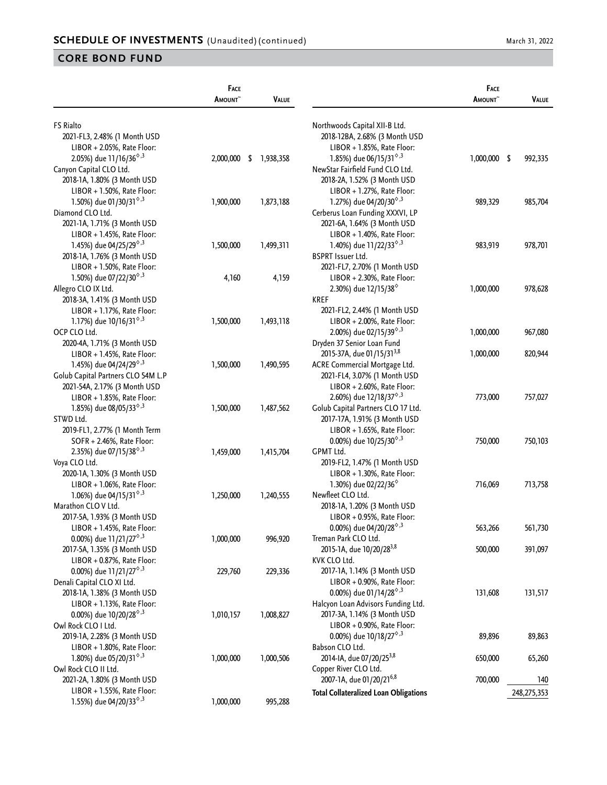| <b>FS Rialto</b><br>Northwoods Capital XII-B Ltd.<br>2021-FL3, 2.48% (1 Month USD<br>2018-12BA, 2.68% (3 Month USD<br>LIBOR + 2.05%, Rate Floor:<br>LIBOR + 1.85%, Rate Floor:<br>1.85%) due 06/15/31 <sup><math>\diamond</math>,3</sup><br>2.05%) due 11/16/36 <sup><math>\diamond</math>,3</sup><br>2,000,000<br>1,938,358<br>$1,000,000$ \$<br>992,335<br>-\$<br>Canyon Capital CLO Ltd.<br>NewStar Fairfield Fund CLO Ltd.<br>2018-1A, 1.80% (3 Month USD<br>2018-2A, 1.52% (3 Month USD<br>LIBOR + 1.50%, Rate Floor:<br>LIBOR + 1.27%, Rate Floor:<br>1.50%) due 01/30/31 <sup><math>\diamond</math>,3</sup><br>1.27%) due 04/20/30 <sup><math>\diamond</math>,3</sup><br>1,900,000<br>1,873,188<br>989,329<br>985,704<br>Diamond CLO Ltd.<br>Cerberus Loan Funding XXXVI, LP<br>2021-6A, 1.64% (3 Month USD<br>2021-1A, 1.71% (3 Month USD<br>LIBOR + 1.40%, Rate Floor:<br>LIBOR + 1.45%, Rate Floor:<br>1.45%) due 04/25/29 <sup><math>\diamond</math>,3</sup><br>1.40%) due 11/22/33 <sup><math>\diamond</math>,3</sup><br>1,500,000<br>1,499,311<br>983,919<br>978,701<br><b>BSPRT Issuer Ltd.</b><br>2018-1A, 1.76% (3 Month USD<br>LIBOR + 1.50%, Rate Floor:<br>2021-FL7, 2.70% (1 Month USD<br>1.50%) due 07/22/30 <sup><math>\diamond</math>,3</sup><br>LIBOR + 2.30%, Rate Floor:<br>4,160<br>4,159<br>Allegro CLO IX Ltd.<br>2.30%) due 12/15/38 <sup>°</sup><br>1,000,000<br>978,628<br><b>KREF</b><br>2018-3A, 1.41% (3 Month USD<br>LIBOR + 1.17%, Rate Floor:<br>2021-FL2, 2.44% (1 Month USD<br>1.17%) due 10/16/31 <sup><math>\diamond</math>,3</sup><br>LIBOR + 2.00%, Rate Floor:<br>1,500,000<br>1,493,118<br>OCP CLO Ltd.<br>2.00%) due 02/15/39 <sup><math>\diamond</math>,3</sup><br>1,000,000<br>967,080<br>Dryden 37 Senior Loan Fund<br>2020-4A, 1.71% (3 Month USD<br>2015-37A, due 01/15/31 <sup>3,8</sup><br>820,944<br>LIBOR + 1.45%, Rate Floor:<br>1,000,000<br>1.45%) due 04/24/29 <sup><math>\diamond</math>,3</sup><br>ACRE Commercial Mortgage Ltd.<br>1,500,000<br>1,490,595<br>2021-FL4, 3.07% (1 Month USD<br>Golub Capital Partners CLO 54M L.P<br>LIBOR + 2.60%, Rate Floor:<br>2021-54A, 2.17% (3 Month USD<br>LIBOR + 1.85%, Rate Floor:<br>2.60%) due 12/18/37 <sup><math>\diamond</math>,3</sup><br>773,000<br>757,027<br>1.85%) due 08/05/33 <sup>6,3</sup><br>1,487,562<br>Golub Capital Partners CLO 17 Ltd.<br>1,500,000<br>STWD Ltd.<br>2017-17A, 1.91% (3 Month USD<br>LIBOR + 1.65%, Rate Floor:<br>2019-FL1, 2.77% (1 Month Term<br>0.00%) due $10/25/30^{\circ.3}$<br>750,000<br>SOFR + 2.46%, Rate Floor:<br>750,103<br>2.35%) due 07/15/38 <sup><math>\diamond</math>,3</sup><br><b>GPMT Ltd.</b><br>1,459,000<br>1,415,704<br>Voya CLO Ltd.<br>2019-FL2, 1.47% (1 Month USD<br>LIBOR + 1.30%, Rate Floor:<br>2020-1A, 1.30% (3 Month USD<br>1.30%) due 02/22/36 <sup>°</sup><br>713,758<br>LIBOR + 1.06%, Rate Floor:<br>716,069<br>1.06%) due 04/15/31 <sup><math>\diamond</math>,3</sup><br>Newfleet CLO Ltd.<br>1,250,000<br>1,240,555<br>Marathon CLO V Ltd.<br>2018-1A, 1.20% (3 Month USD<br>2017-5A, 1.93% (3 Month USD<br>LIBOR + 0.95%, Rate Floor:<br>0.00%) due 04/20/28 $^{\diamond,3}$<br>LIBOR + 1.45%, Rate Floor:<br>563,266<br>561,730<br>0.00%) due 11/21/27 <sup><math>\diamond</math>,3</sup><br>1,000,000<br>Treman Park CLO Ltd.<br>996,920<br>2015-1A, due 10/20/28 <sup>3,8</sup><br>500,000<br>391,097<br>2017-5A, 1.35% (3 Month USD<br>KVK CLO Ltd.<br>LIBOR + 0.87%, Rate Floor:<br>0.00%) due 11/21/27 <sup><math>\diamond</math>,3</sup><br>229,760<br>229,336<br>2017-1A, 1.14% (3 Month USD<br>LIBOR + 0.90%, Rate Floor:<br>Denali Capital CLO XI Ltd.<br>0.00%) due 01/14/28 <sup><math>\diamond</math>,3</sup><br>131,608<br>131,517<br>2018-1A, 1.38% (3 Month USD<br>Halcyon Loan Advisors Funding Ltd.<br>LIBOR + 1.13%, Rate Floor:<br>2017-3A, 1.14% (3 Month USD<br>0.00%) due 10/20/28 <sup><math>\diamond</math>,3</sup><br>1,008,827<br>1,010,157<br>Owl Rock CLO I Ltd.<br>LIBOR + 0.90%, Rate Floor:<br>0.00%) due $10/18/27^{\diamond,3}$<br>89,896<br>2019-1A, 2.28% (3 Month USD<br>89,863<br>Babson CLO Ltd.<br>LIBOR + 1.80%, Rate Floor:<br>2014-IA, due 07/20/25 <sup>3,8</sup><br>650,000<br>1.80%) due 05/20/31 <sup><math>\diamond</math>,3</sup><br>1,000,000<br>1,000,506<br>65,260<br>Owl Rock CLO II Ltd.<br>Copper River CLO Ltd.<br>2007-1A, due 01/20/216,8<br>700,000<br>2021-2A, 1.80% (3 Month USD<br>140<br>LIBOR + 1.55%, Rate Floor:<br><b>Total Collateralized Loan Obligations</b><br>248,275,353 |                                                        | <b>FACE</b><br><b>AMOUNT</b> | <b>VALUE</b> | <b>FACE</b><br><b>AMOUNT</b> | <b>VALUE</b> |
|------------------------------------------------------------------------------------------------------------------------------------------------------------------------------------------------------------------------------------------------------------------------------------------------------------------------------------------------------------------------------------------------------------------------------------------------------------------------------------------------------------------------------------------------------------------------------------------------------------------------------------------------------------------------------------------------------------------------------------------------------------------------------------------------------------------------------------------------------------------------------------------------------------------------------------------------------------------------------------------------------------------------------------------------------------------------------------------------------------------------------------------------------------------------------------------------------------------------------------------------------------------------------------------------------------------------------------------------------------------------------------------------------------------------------------------------------------------------------------------------------------------------------------------------------------------------------------------------------------------------------------------------------------------------------------------------------------------------------------------------------------------------------------------------------------------------------------------------------------------------------------------------------------------------------------------------------------------------------------------------------------------------------------------------------------------------------------------------------------------------------------------------------------------------------------------------------------------------------------------------------------------------------------------------------------------------------------------------------------------------------------------------------------------------------------------------------------------------------------------------------------------------------------------------------------------------------------------------------------------------------------------------------------------------------------------------------------------------------------------------------------------------------------------------------------------------------------------------------------------------------------------------------------------------------------------------------------------------------------------------------------------------------------------------------------------------------------------------------------------------------------------------------------------------------------------------------------------------------------------------------------------------------------------------------------------------------------------------------------------------------------------------------------------------------------------------------------------------------------------------------------------------------------------------------------------------------------------------------------------------------------------------------------------------------------------------------------------------------------------------------------------------------------------------------------------------------------------------------------------------------------------------------------------------------------------------------------------------------------------------------------------------------------------------------------------------------------------------------------------------------------------------------------------------------------------------------------------------------------------------------------------------------------------------------------------------------------------------------------------------------------------------------------------------------------------------------------------------------------------------------------------------------------------|--------------------------------------------------------|------------------------------|--------------|------------------------------|--------------|
|                                                                                                                                                                                                                                                                                                                                                                                                                                                                                                                                                                                                                                                                                                                                                                                                                                                                                                                                                                                                                                                                                                                                                                                                                                                                                                                                                                                                                                                                                                                                                                                                                                                                                                                                                                                                                                                                                                                                                                                                                                                                                                                                                                                                                                                                                                                                                                                                                                                                                                                                                                                                                                                                                                                                                                                                                                                                                                                                                                                                                                                                                                                                                                                                                                                                                                                                                                                                                                                                                                                                                                                                                                                                                                                                                                                                                                                                                                                                                                                                                                                                                                                                                                                                                                                                                                                                                                                                                                                                                                                                          |                                                        |                              |              |                              |              |
|                                                                                                                                                                                                                                                                                                                                                                                                                                                                                                                                                                                                                                                                                                                                                                                                                                                                                                                                                                                                                                                                                                                                                                                                                                                                                                                                                                                                                                                                                                                                                                                                                                                                                                                                                                                                                                                                                                                                                                                                                                                                                                                                                                                                                                                                                                                                                                                                                                                                                                                                                                                                                                                                                                                                                                                                                                                                                                                                                                                                                                                                                                                                                                                                                                                                                                                                                                                                                                                                                                                                                                                                                                                                                                                                                                                                                                                                                                                                                                                                                                                                                                                                                                                                                                                                                                                                                                                                                                                                                                                                          |                                                        |                              |              |                              |              |
|                                                                                                                                                                                                                                                                                                                                                                                                                                                                                                                                                                                                                                                                                                                                                                                                                                                                                                                                                                                                                                                                                                                                                                                                                                                                                                                                                                                                                                                                                                                                                                                                                                                                                                                                                                                                                                                                                                                                                                                                                                                                                                                                                                                                                                                                                                                                                                                                                                                                                                                                                                                                                                                                                                                                                                                                                                                                                                                                                                                                                                                                                                                                                                                                                                                                                                                                                                                                                                                                                                                                                                                                                                                                                                                                                                                                                                                                                                                                                                                                                                                                                                                                                                                                                                                                                                                                                                                                                                                                                                                                          |                                                        |                              |              |                              |              |
|                                                                                                                                                                                                                                                                                                                                                                                                                                                                                                                                                                                                                                                                                                                                                                                                                                                                                                                                                                                                                                                                                                                                                                                                                                                                                                                                                                                                                                                                                                                                                                                                                                                                                                                                                                                                                                                                                                                                                                                                                                                                                                                                                                                                                                                                                                                                                                                                                                                                                                                                                                                                                                                                                                                                                                                                                                                                                                                                                                                                                                                                                                                                                                                                                                                                                                                                                                                                                                                                                                                                                                                                                                                                                                                                                                                                                                                                                                                                                                                                                                                                                                                                                                                                                                                                                                                                                                                                                                                                                                                                          |                                                        |                              |              |                              |              |
|                                                                                                                                                                                                                                                                                                                                                                                                                                                                                                                                                                                                                                                                                                                                                                                                                                                                                                                                                                                                                                                                                                                                                                                                                                                                                                                                                                                                                                                                                                                                                                                                                                                                                                                                                                                                                                                                                                                                                                                                                                                                                                                                                                                                                                                                                                                                                                                                                                                                                                                                                                                                                                                                                                                                                                                                                                                                                                                                                                                                                                                                                                                                                                                                                                                                                                                                                                                                                                                                                                                                                                                                                                                                                                                                                                                                                                                                                                                                                                                                                                                                                                                                                                                                                                                                                                                                                                                                                                                                                                                                          |                                                        |                              |              |                              |              |
|                                                                                                                                                                                                                                                                                                                                                                                                                                                                                                                                                                                                                                                                                                                                                                                                                                                                                                                                                                                                                                                                                                                                                                                                                                                                                                                                                                                                                                                                                                                                                                                                                                                                                                                                                                                                                                                                                                                                                                                                                                                                                                                                                                                                                                                                                                                                                                                                                                                                                                                                                                                                                                                                                                                                                                                                                                                                                                                                                                                                                                                                                                                                                                                                                                                                                                                                                                                                                                                                                                                                                                                                                                                                                                                                                                                                                                                                                                                                                                                                                                                                                                                                                                                                                                                                                                                                                                                                                                                                                                                                          |                                                        |                              |              |                              |              |
|                                                                                                                                                                                                                                                                                                                                                                                                                                                                                                                                                                                                                                                                                                                                                                                                                                                                                                                                                                                                                                                                                                                                                                                                                                                                                                                                                                                                                                                                                                                                                                                                                                                                                                                                                                                                                                                                                                                                                                                                                                                                                                                                                                                                                                                                                                                                                                                                                                                                                                                                                                                                                                                                                                                                                                                                                                                                                                                                                                                                                                                                                                                                                                                                                                                                                                                                                                                                                                                                                                                                                                                                                                                                                                                                                                                                                                                                                                                                                                                                                                                                                                                                                                                                                                                                                                                                                                                                                                                                                                                                          |                                                        |                              |              |                              |              |
|                                                                                                                                                                                                                                                                                                                                                                                                                                                                                                                                                                                                                                                                                                                                                                                                                                                                                                                                                                                                                                                                                                                                                                                                                                                                                                                                                                                                                                                                                                                                                                                                                                                                                                                                                                                                                                                                                                                                                                                                                                                                                                                                                                                                                                                                                                                                                                                                                                                                                                                                                                                                                                                                                                                                                                                                                                                                                                                                                                                                                                                                                                                                                                                                                                                                                                                                                                                                                                                                                                                                                                                                                                                                                                                                                                                                                                                                                                                                                                                                                                                                                                                                                                                                                                                                                                                                                                                                                                                                                                                                          |                                                        |                              |              |                              |              |
|                                                                                                                                                                                                                                                                                                                                                                                                                                                                                                                                                                                                                                                                                                                                                                                                                                                                                                                                                                                                                                                                                                                                                                                                                                                                                                                                                                                                                                                                                                                                                                                                                                                                                                                                                                                                                                                                                                                                                                                                                                                                                                                                                                                                                                                                                                                                                                                                                                                                                                                                                                                                                                                                                                                                                                                                                                                                                                                                                                                                                                                                                                                                                                                                                                                                                                                                                                                                                                                                                                                                                                                                                                                                                                                                                                                                                                                                                                                                                                                                                                                                                                                                                                                                                                                                                                                                                                                                                                                                                                                                          |                                                        |                              |              |                              |              |
|                                                                                                                                                                                                                                                                                                                                                                                                                                                                                                                                                                                                                                                                                                                                                                                                                                                                                                                                                                                                                                                                                                                                                                                                                                                                                                                                                                                                                                                                                                                                                                                                                                                                                                                                                                                                                                                                                                                                                                                                                                                                                                                                                                                                                                                                                                                                                                                                                                                                                                                                                                                                                                                                                                                                                                                                                                                                                                                                                                                                                                                                                                                                                                                                                                                                                                                                                                                                                                                                                                                                                                                                                                                                                                                                                                                                                                                                                                                                                                                                                                                                                                                                                                                                                                                                                                                                                                                                                                                                                                                                          |                                                        |                              |              |                              |              |
|                                                                                                                                                                                                                                                                                                                                                                                                                                                                                                                                                                                                                                                                                                                                                                                                                                                                                                                                                                                                                                                                                                                                                                                                                                                                                                                                                                                                                                                                                                                                                                                                                                                                                                                                                                                                                                                                                                                                                                                                                                                                                                                                                                                                                                                                                                                                                                                                                                                                                                                                                                                                                                                                                                                                                                                                                                                                                                                                                                                                                                                                                                                                                                                                                                                                                                                                                                                                                                                                                                                                                                                                                                                                                                                                                                                                                                                                                                                                                                                                                                                                                                                                                                                                                                                                                                                                                                                                                                                                                                                                          |                                                        |                              |              |                              |              |
|                                                                                                                                                                                                                                                                                                                                                                                                                                                                                                                                                                                                                                                                                                                                                                                                                                                                                                                                                                                                                                                                                                                                                                                                                                                                                                                                                                                                                                                                                                                                                                                                                                                                                                                                                                                                                                                                                                                                                                                                                                                                                                                                                                                                                                                                                                                                                                                                                                                                                                                                                                                                                                                                                                                                                                                                                                                                                                                                                                                                                                                                                                                                                                                                                                                                                                                                                                                                                                                                                                                                                                                                                                                                                                                                                                                                                                                                                                                                                                                                                                                                                                                                                                                                                                                                                                                                                                                                                                                                                                                                          |                                                        |                              |              |                              |              |
|                                                                                                                                                                                                                                                                                                                                                                                                                                                                                                                                                                                                                                                                                                                                                                                                                                                                                                                                                                                                                                                                                                                                                                                                                                                                                                                                                                                                                                                                                                                                                                                                                                                                                                                                                                                                                                                                                                                                                                                                                                                                                                                                                                                                                                                                                                                                                                                                                                                                                                                                                                                                                                                                                                                                                                                                                                                                                                                                                                                                                                                                                                                                                                                                                                                                                                                                                                                                                                                                                                                                                                                                                                                                                                                                                                                                                                                                                                                                                                                                                                                                                                                                                                                                                                                                                                                                                                                                                                                                                                                                          |                                                        |                              |              |                              |              |
|                                                                                                                                                                                                                                                                                                                                                                                                                                                                                                                                                                                                                                                                                                                                                                                                                                                                                                                                                                                                                                                                                                                                                                                                                                                                                                                                                                                                                                                                                                                                                                                                                                                                                                                                                                                                                                                                                                                                                                                                                                                                                                                                                                                                                                                                                                                                                                                                                                                                                                                                                                                                                                                                                                                                                                                                                                                                                                                                                                                                                                                                                                                                                                                                                                                                                                                                                                                                                                                                                                                                                                                                                                                                                                                                                                                                                                                                                                                                                                                                                                                                                                                                                                                                                                                                                                                                                                                                                                                                                                                                          |                                                        |                              |              |                              |              |
|                                                                                                                                                                                                                                                                                                                                                                                                                                                                                                                                                                                                                                                                                                                                                                                                                                                                                                                                                                                                                                                                                                                                                                                                                                                                                                                                                                                                                                                                                                                                                                                                                                                                                                                                                                                                                                                                                                                                                                                                                                                                                                                                                                                                                                                                                                                                                                                                                                                                                                                                                                                                                                                                                                                                                                                                                                                                                                                                                                                                                                                                                                                                                                                                                                                                                                                                                                                                                                                                                                                                                                                                                                                                                                                                                                                                                                                                                                                                                                                                                                                                                                                                                                                                                                                                                                                                                                                                                                                                                                                                          |                                                        |                              |              |                              |              |
|                                                                                                                                                                                                                                                                                                                                                                                                                                                                                                                                                                                                                                                                                                                                                                                                                                                                                                                                                                                                                                                                                                                                                                                                                                                                                                                                                                                                                                                                                                                                                                                                                                                                                                                                                                                                                                                                                                                                                                                                                                                                                                                                                                                                                                                                                                                                                                                                                                                                                                                                                                                                                                                                                                                                                                                                                                                                                                                                                                                                                                                                                                                                                                                                                                                                                                                                                                                                                                                                                                                                                                                                                                                                                                                                                                                                                                                                                                                                                                                                                                                                                                                                                                                                                                                                                                                                                                                                                                                                                                                                          |                                                        |                              |              |                              |              |
|                                                                                                                                                                                                                                                                                                                                                                                                                                                                                                                                                                                                                                                                                                                                                                                                                                                                                                                                                                                                                                                                                                                                                                                                                                                                                                                                                                                                                                                                                                                                                                                                                                                                                                                                                                                                                                                                                                                                                                                                                                                                                                                                                                                                                                                                                                                                                                                                                                                                                                                                                                                                                                                                                                                                                                                                                                                                                                                                                                                                                                                                                                                                                                                                                                                                                                                                                                                                                                                                                                                                                                                                                                                                                                                                                                                                                                                                                                                                                                                                                                                                                                                                                                                                                                                                                                                                                                                                                                                                                                                                          |                                                        |                              |              |                              |              |
|                                                                                                                                                                                                                                                                                                                                                                                                                                                                                                                                                                                                                                                                                                                                                                                                                                                                                                                                                                                                                                                                                                                                                                                                                                                                                                                                                                                                                                                                                                                                                                                                                                                                                                                                                                                                                                                                                                                                                                                                                                                                                                                                                                                                                                                                                                                                                                                                                                                                                                                                                                                                                                                                                                                                                                                                                                                                                                                                                                                                                                                                                                                                                                                                                                                                                                                                                                                                                                                                                                                                                                                                                                                                                                                                                                                                                                                                                                                                                                                                                                                                                                                                                                                                                                                                                                                                                                                                                                                                                                                                          |                                                        |                              |              |                              |              |
|                                                                                                                                                                                                                                                                                                                                                                                                                                                                                                                                                                                                                                                                                                                                                                                                                                                                                                                                                                                                                                                                                                                                                                                                                                                                                                                                                                                                                                                                                                                                                                                                                                                                                                                                                                                                                                                                                                                                                                                                                                                                                                                                                                                                                                                                                                                                                                                                                                                                                                                                                                                                                                                                                                                                                                                                                                                                                                                                                                                                                                                                                                                                                                                                                                                                                                                                                                                                                                                                                                                                                                                                                                                                                                                                                                                                                                                                                                                                                                                                                                                                                                                                                                                                                                                                                                                                                                                                                                                                                                                                          |                                                        |                              |              |                              |              |
|                                                                                                                                                                                                                                                                                                                                                                                                                                                                                                                                                                                                                                                                                                                                                                                                                                                                                                                                                                                                                                                                                                                                                                                                                                                                                                                                                                                                                                                                                                                                                                                                                                                                                                                                                                                                                                                                                                                                                                                                                                                                                                                                                                                                                                                                                                                                                                                                                                                                                                                                                                                                                                                                                                                                                                                                                                                                                                                                                                                                                                                                                                                                                                                                                                                                                                                                                                                                                                                                                                                                                                                                                                                                                                                                                                                                                                                                                                                                                                                                                                                                                                                                                                                                                                                                                                                                                                                                                                                                                                                                          |                                                        |                              |              |                              |              |
|                                                                                                                                                                                                                                                                                                                                                                                                                                                                                                                                                                                                                                                                                                                                                                                                                                                                                                                                                                                                                                                                                                                                                                                                                                                                                                                                                                                                                                                                                                                                                                                                                                                                                                                                                                                                                                                                                                                                                                                                                                                                                                                                                                                                                                                                                                                                                                                                                                                                                                                                                                                                                                                                                                                                                                                                                                                                                                                                                                                                                                                                                                                                                                                                                                                                                                                                                                                                                                                                                                                                                                                                                                                                                                                                                                                                                                                                                                                                                                                                                                                                                                                                                                                                                                                                                                                                                                                                                                                                                                                                          |                                                        |                              |              |                              |              |
|                                                                                                                                                                                                                                                                                                                                                                                                                                                                                                                                                                                                                                                                                                                                                                                                                                                                                                                                                                                                                                                                                                                                                                                                                                                                                                                                                                                                                                                                                                                                                                                                                                                                                                                                                                                                                                                                                                                                                                                                                                                                                                                                                                                                                                                                                                                                                                                                                                                                                                                                                                                                                                                                                                                                                                                                                                                                                                                                                                                                                                                                                                                                                                                                                                                                                                                                                                                                                                                                                                                                                                                                                                                                                                                                                                                                                                                                                                                                                                                                                                                                                                                                                                                                                                                                                                                                                                                                                                                                                                                                          |                                                        |                              |              |                              |              |
|                                                                                                                                                                                                                                                                                                                                                                                                                                                                                                                                                                                                                                                                                                                                                                                                                                                                                                                                                                                                                                                                                                                                                                                                                                                                                                                                                                                                                                                                                                                                                                                                                                                                                                                                                                                                                                                                                                                                                                                                                                                                                                                                                                                                                                                                                                                                                                                                                                                                                                                                                                                                                                                                                                                                                                                                                                                                                                                                                                                                                                                                                                                                                                                                                                                                                                                                                                                                                                                                                                                                                                                                                                                                                                                                                                                                                                                                                                                                                                                                                                                                                                                                                                                                                                                                                                                                                                                                                                                                                                                                          |                                                        |                              |              |                              |              |
|                                                                                                                                                                                                                                                                                                                                                                                                                                                                                                                                                                                                                                                                                                                                                                                                                                                                                                                                                                                                                                                                                                                                                                                                                                                                                                                                                                                                                                                                                                                                                                                                                                                                                                                                                                                                                                                                                                                                                                                                                                                                                                                                                                                                                                                                                                                                                                                                                                                                                                                                                                                                                                                                                                                                                                                                                                                                                                                                                                                                                                                                                                                                                                                                                                                                                                                                                                                                                                                                                                                                                                                                                                                                                                                                                                                                                                                                                                                                                                                                                                                                                                                                                                                                                                                                                                                                                                                                                                                                                                                                          |                                                        |                              |              |                              |              |
|                                                                                                                                                                                                                                                                                                                                                                                                                                                                                                                                                                                                                                                                                                                                                                                                                                                                                                                                                                                                                                                                                                                                                                                                                                                                                                                                                                                                                                                                                                                                                                                                                                                                                                                                                                                                                                                                                                                                                                                                                                                                                                                                                                                                                                                                                                                                                                                                                                                                                                                                                                                                                                                                                                                                                                                                                                                                                                                                                                                                                                                                                                                                                                                                                                                                                                                                                                                                                                                                                                                                                                                                                                                                                                                                                                                                                                                                                                                                                                                                                                                                                                                                                                                                                                                                                                                                                                                                                                                                                                                                          |                                                        |                              |              |                              |              |
|                                                                                                                                                                                                                                                                                                                                                                                                                                                                                                                                                                                                                                                                                                                                                                                                                                                                                                                                                                                                                                                                                                                                                                                                                                                                                                                                                                                                                                                                                                                                                                                                                                                                                                                                                                                                                                                                                                                                                                                                                                                                                                                                                                                                                                                                                                                                                                                                                                                                                                                                                                                                                                                                                                                                                                                                                                                                                                                                                                                                                                                                                                                                                                                                                                                                                                                                                                                                                                                                                                                                                                                                                                                                                                                                                                                                                                                                                                                                                                                                                                                                                                                                                                                                                                                                                                                                                                                                                                                                                                                                          |                                                        |                              |              |                              |              |
|                                                                                                                                                                                                                                                                                                                                                                                                                                                                                                                                                                                                                                                                                                                                                                                                                                                                                                                                                                                                                                                                                                                                                                                                                                                                                                                                                                                                                                                                                                                                                                                                                                                                                                                                                                                                                                                                                                                                                                                                                                                                                                                                                                                                                                                                                                                                                                                                                                                                                                                                                                                                                                                                                                                                                                                                                                                                                                                                                                                                                                                                                                                                                                                                                                                                                                                                                                                                                                                                                                                                                                                                                                                                                                                                                                                                                                                                                                                                                                                                                                                                                                                                                                                                                                                                                                                                                                                                                                                                                                                                          |                                                        |                              |              |                              |              |
|                                                                                                                                                                                                                                                                                                                                                                                                                                                                                                                                                                                                                                                                                                                                                                                                                                                                                                                                                                                                                                                                                                                                                                                                                                                                                                                                                                                                                                                                                                                                                                                                                                                                                                                                                                                                                                                                                                                                                                                                                                                                                                                                                                                                                                                                                                                                                                                                                                                                                                                                                                                                                                                                                                                                                                                                                                                                                                                                                                                                                                                                                                                                                                                                                                                                                                                                                                                                                                                                                                                                                                                                                                                                                                                                                                                                                                                                                                                                                                                                                                                                                                                                                                                                                                                                                                                                                                                                                                                                                                                                          |                                                        |                              |              |                              |              |
|                                                                                                                                                                                                                                                                                                                                                                                                                                                                                                                                                                                                                                                                                                                                                                                                                                                                                                                                                                                                                                                                                                                                                                                                                                                                                                                                                                                                                                                                                                                                                                                                                                                                                                                                                                                                                                                                                                                                                                                                                                                                                                                                                                                                                                                                                                                                                                                                                                                                                                                                                                                                                                                                                                                                                                                                                                                                                                                                                                                                                                                                                                                                                                                                                                                                                                                                                                                                                                                                                                                                                                                                                                                                                                                                                                                                                                                                                                                                                                                                                                                                                                                                                                                                                                                                                                                                                                                                                                                                                                                                          |                                                        |                              |              |                              |              |
|                                                                                                                                                                                                                                                                                                                                                                                                                                                                                                                                                                                                                                                                                                                                                                                                                                                                                                                                                                                                                                                                                                                                                                                                                                                                                                                                                                                                                                                                                                                                                                                                                                                                                                                                                                                                                                                                                                                                                                                                                                                                                                                                                                                                                                                                                                                                                                                                                                                                                                                                                                                                                                                                                                                                                                                                                                                                                                                                                                                                                                                                                                                                                                                                                                                                                                                                                                                                                                                                                                                                                                                                                                                                                                                                                                                                                                                                                                                                                                                                                                                                                                                                                                                                                                                                                                                                                                                                                                                                                                                                          |                                                        |                              |              |                              |              |
|                                                                                                                                                                                                                                                                                                                                                                                                                                                                                                                                                                                                                                                                                                                                                                                                                                                                                                                                                                                                                                                                                                                                                                                                                                                                                                                                                                                                                                                                                                                                                                                                                                                                                                                                                                                                                                                                                                                                                                                                                                                                                                                                                                                                                                                                                                                                                                                                                                                                                                                                                                                                                                                                                                                                                                                                                                                                                                                                                                                                                                                                                                                                                                                                                                                                                                                                                                                                                                                                                                                                                                                                                                                                                                                                                                                                                                                                                                                                                                                                                                                                                                                                                                                                                                                                                                                                                                                                                                                                                                                                          |                                                        |                              |              |                              |              |
|                                                                                                                                                                                                                                                                                                                                                                                                                                                                                                                                                                                                                                                                                                                                                                                                                                                                                                                                                                                                                                                                                                                                                                                                                                                                                                                                                                                                                                                                                                                                                                                                                                                                                                                                                                                                                                                                                                                                                                                                                                                                                                                                                                                                                                                                                                                                                                                                                                                                                                                                                                                                                                                                                                                                                                                                                                                                                                                                                                                                                                                                                                                                                                                                                                                                                                                                                                                                                                                                                                                                                                                                                                                                                                                                                                                                                                                                                                                                                                                                                                                                                                                                                                                                                                                                                                                                                                                                                                                                                                                                          |                                                        |                              |              |                              |              |
|                                                                                                                                                                                                                                                                                                                                                                                                                                                                                                                                                                                                                                                                                                                                                                                                                                                                                                                                                                                                                                                                                                                                                                                                                                                                                                                                                                                                                                                                                                                                                                                                                                                                                                                                                                                                                                                                                                                                                                                                                                                                                                                                                                                                                                                                                                                                                                                                                                                                                                                                                                                                                                                                                                                                                                                                                                                                                                                                                                                                                                                                                                                                                                                                                                                                                                                                                                                                                                                                                                                                                                                                                                                                                                                                                                                                                                                                                                                                                                                                                                                                                                                                                                                                                                                                                                                                                                                                                                                                                                                                          |                                                        |                              |              |                              |              |
|                                                                                                                                                                                                                                                                                                                                                                                                                                                                                                                                                                                                                                                                                                                                                                                                                                                                                                                                                                                                                                                                                                                                                                                                                                                                                                                                                                                                                                                                                                                                                                                                                                                                                                                                                                                                                                                                                                                                                                                                                                                                                                                                                                                                                                                                                                                                                                                                                                                                                                                                                                                                                                                                                                                                                                                                                                                                                                                                                                                                                                                                                                                                                                                                                                                                                                                                                                                                                                                                                                                                                                                                                                                                                                                                                                                                                                                                                                                                                                                                                                                                                                                                                                                                                                                                                                                                                                                                                                                                                                                                          |                                                        |                              |              |                              |              |
|                                                                                                                                                                                                                                                                                                                                                                                                                                                                                                                                                                                                                                                                                                                                                                                                                                                                                                                                                                                                                                                                                                                                                                                                                                                                                                                                                                                                                                                                                                                                                                                                                                                                                                                                                                                                                                                                                                                                                                                                                                                                                                                                                                                                                                                                                                                                                                                                                                                                                                                                                                                                                                                                                                                                                                                                                                                                                                                                                                                                                                                                                                                                                                                                                                                                                                                                                                                                                                                                                                                                                                                                                                                                                                                                                                                                                                                                                                                                                                                                                                                                                                                                                                                                                                                                                                                                                                                                                                                                                                                                          |                                                        |                              |              |                              |              |
|                                                                                                                                                                                                                                                                                                                                                                                                                                                                                                                                                                                                                                                                                                                                                                                                                                                                                                                                                                                                                                                                                                                                                                                                                                                                                                                                                                                                                                                                                                                                                                                                                                                                                                                                                                                                                                                                                                                                                                                                                                                                                                                                                                                                                                                                                                                                                                                                                                                                                                                                                                                                                                                                                                                                                                                                                                                                                                                                                                                                                                                                                                                                                                                                                                                                                                                                                                                                                                                                                                                                                                                                                                                                                                                                                                                                                                                                                                                                                                                                                                                                                                                                                                                                                                                                                                                                                                                                                                                                                                                                          |                                                        |                              |              |                              |              |
|                                                                                                                                                                                                                                                                                                                                                                                                                                                                                                                                                                                                                                                                                                                                                                                                                                                                                                                                                                                                                                                                                                                                                                                                                                                                                                                                                                                                                                                                                                                                                                                                                                                                                                                                                                                                                                                                                                                                                                                                                                                                                                                                                                                                                                                                                                                                                                                                                                                                                                                                                                                                                                                                                                                                                                                                                                                                                                                                                                                                                                                                                                                                                                                                                                                                                                                                                                                                                                                                                                                                                                                                                                                                                                                                                                                                                                                                                                                                                                                                                                                                                                                                                                                                                                                                                                                                                                                                                                                                                                                                          |                                                        |                              |              |                              |              |
|                                                                                                                                                                                                                                                                                                                                                                                                                                                                                                                                                                                                                                                                                                                                                                                                                                                                                                                                                                                                                                                                                                                                                                                                                                                                                                                                                                                                                                                                                                                                                                                                                                                                                                                                                                                                                                                                                                                                                                                                                                                                                                                                                                                                                                                                                                                                                                                                                                                                                                                                                                                                                                                                                                                                                                                                                                                                                                                                                                                                                                                                                                                                                                                                                                                                                                                                                                                                                                                                                                                                                                                                                                                                                                                                                                                                                                                                                                                                                                                                                                                                                                                                                                                                                                                                                                                                                                                                                                                                                                                                          |                                                        |                              |              |                              |              |
|                                                                                                                                                                                                                                                                                                                                                                                                                                                                                                                                                                                                                                                                                                                                                                                                                                                                                                                                                                                                                                                                                                                                                                                                                                                                                                                                                                                                                                                                                                                                                                                                                                                                                                                                                                                                                                                                                                                                                                                                                                                                                                                                                                                                                                                                                                                                                                                                                                                                                                                                                                                                                                                                                                                                                                                                                                                                                                                                                                                                                                                                                                                                                                                                                                                                                                                                                                                                                                                                                                                                                                                                                                                                                                                                                                                                                                                                                                                                                                                                                                                                                                                                                                                                                                                                                                                                                                                                                                                                                                                                          |                                                        |                              |              |                              |              |
|                                                                                                                                                                                                                                                                                                                                                                                                                                                                                                                                                                                                                                                                                                                                                                                                                                                                                                                                                                                                                                                                                                                                                                                                                                                                                                                                                                                                                                                                                                                                                                                                                                                                                                                                                                                                                                                                                                                                                                                                                                                                                                                                                                                                                                                                                                                                                                                                                                                                                                                                                                                                                                                                                                                                                                                                                                                                                                                                                                                                                                                                                                                                                                                                                                                                                                                                                                                                                                                                                                                                                                                                                                                                                                                                                                                                                                                                                                                                                                                                                                                                                                                                                                                                                                                                                                                                                                                                                                                                                                                                          |                                                        |                              |              |                              |              |
|                                                                                                                                                                                                                                                                                                                                                                                                                                                                                                                                                                                                                                                                                                                                                                                                                                                                                                                                                                                                                                                                                                                                                                                                                                                                                                                                                                                                                                                                                                                                                                                                                                                                                                                                                                                                                                                                                                                                                                                                                                                                                                                                                                                                                                                                                                                                                                                                                                                                                                                                                                                                                                                                                                                                                                                                                                                                                                                                                                                                                                                                                                                                                                                                                                                                                                                                                                                                                                                                                                                                                                                                                                                                                                                                                                                                                                                                                                                                                                                                                                                                                                                                                                                                                                                                                                                                                                                                                                                                                                                                          |                                                        |                              |              |                              |              |
|                                                                                                                                                                                                                                                                                                                                                                                                                                                                                                                                                                                                                                                                                                                                                                                                                                                                                                                                                                                                                                                                                                                                                                                                                                                                                                                                                                                                                                                                                                                                                                                                                                                                                                                                                                                                                                                                                                                                                                                                                                                                                                                                                                                                                                                                                                                                                                                                                                                                                                                                                                                                                                                                                                                                                                                                                                                                                                                                                                                                                                                                                                                                                                                                                                                                                                                                                                                                                                                                                                                                                                                                                                                                                                                                                                                                                                                                                                                                                                                                                                                                                                                                                                                                                                                                                                                                                                                                                                                                                                                                          |                                                        |                              |              |                              |              |
|                                                                                                                                                                                                                                                                                                                                                                                                                                                                                                                                                                                                                                                                                                                                                                                                                                                                                                                                                                                                                                                                                                                                                                                                                                                                                                                                                                                                                                                                                                                                                                                                                                                                                                                                                                                                                                                                                                                                                                                                                                                                                                                                                                                                                                                                                                                                                                                                                                                                                                                                                                                                                                                                                                                                                                                                                                                                                                                                                                                                                                                                                                                                                                                                                                                                                                                                                                                                                                                                                                                                                                                                                                                                                                                                                                                                                                                                                                                                                                                                                                                                                                                                                                                                                                                                                                                                                                                                                                                                                                                                          |                                                        |                              |              |                              |              |
|                                                                                                                                                                                                                                                                                                                                                                                                                                                                                                                                                                                                                                                                                                                                                                                                                                                                                                                                                                                                                                                                                                                                                                                                                                                                                                                                                                                                                                                                                                                                                                                                                                                                                                                                                                                                                                                                                                                                                                                                                                                                                                                                                                                                                                                                                                                                                                                                                                                                                                                                                                                                                                                                                                                                                                                                                                                                                                                                                                                                                                                                                                                                                                                                                                                                                                                                                                                                                                                                                                                                                                                                                                                                                                                                                                                                                                                                                                                                                                                                                                                                                                                                                                                                                                                                                                                                                                                                                                                                                                                                          |                                                        |                              |              |                              |              |
|                                                                                                                                                                                                                                                                                                                                                                                                                                                                                                                                                                                                                                                                                                                                                                                                                                                                                                                                                                                                                                                                                                                                                                                                                                                                                                                                                                                                                                                                                                                                                                                                                                                                                                                                                                                                                                                                                                                                                                                                                                                                                                                                                                                                                                                                                                                                                                                                                                                                                                                                                                                                                                                                                                                                                                                                                                                                                                                                                                                                                                                                                                                                                                                                                                                                                                                                                                                                                                                                                                                                                                                                                                                                                                                                                                                                                                                                                                                                                                                                                                                                                                                                                                                                                                                                                                                                                                                                                                                                                                                                          |                                                        |                              |              |                              |              |
|                                                                                                                                                                                                                                                                                                                                                                                                                                                                                                                                                                                                                                                                                                                                                                                                                                                                                                                                                                                                                                                                                                                                                                                                                                                                                                                                                                                                                                                                                                                                                                                                                                                                                                                                                                                                                                                                                                                                                                                                                                                                                                                                                                                                                                                                                                                                                                                                                                                                                                                                                                                                                                                                                                                                                                                                                                                                                                                                                                                                                                                                                                                                                                                                                                                                                                                                                                                                                                                                                                                                                                                                                                                                                                                                                                                                                                                                                                                                                                                                                                                                                                                                                                                                                                                                                                                                                                                                                                                                                                                                          |                                                        |                              |              |                              |              |
|                                                                                                                                                                                                                                                                                                                                                                                                                                                                                                                                                                                                                                                                                                                                                                                                                                                                                                                                                                                                                                                                                                                                                                                                                                                                                                                                                                                                                                                                                                                                                                                                                                                                                                                                                                                                                                                                                                                                                                                                                                                                                                                                                                                                                                                                                                                                                                                                                                                                                                                                                                                                                                                                                                                                                                                                                                                                                                                                                                                                                                                                                                                                                                                                                                                                                                                                                                                                                                                                                                                                                                                                                                                                                                                                                                                                                                                                                                                                                                                                                                                                                                                                                                                                                                                                                                                                                                                                                                                                                                                                          |                                                        |                              |              |                              |              |
|                                                                                                                                                                                                                                                                                                                                                                                                                                                                                                                                                                                                                                                                                                                                                                                                                                                                                                                                                                                                                                                                                                                                                                                                                                                                                                                                                                                                                                                                                                                                                                                                                                                                                                                                                                                                                                                                                                                                                                                                                                                                                                                                                                                                                                                                                                                                                                                                                                                                                                                                                                                                                                                                                                                                                                                                                                                                                                                                                                                                                                                                                                                                                                                                                                                                                                                                                                                                                                                                                                                                                                                                                                                                                                                                                                                                                                                                                                                                                                                                                                                                                                                                                                                                                                                                                                                                                                                                                                                                                                                                          |                                                        |                              |              |                              |              |
|                                                                                                                                                                                                                                                                                                                                                                                                                                                                                                                                                                                                                                                                                                                                                                                                                                                                                                                                                                                                                                                                                                                                                                                                                                                                                                                                                                                                                                                                                                                                                                                                                                                                                                                                                                                                                                                                                                                                                                                                                                                                                                                                                                                                                                                                                                                                                                                                                                                                                                                                                                                                                                                                                                                                                                                                                                                                                                                                                                                                                                                                                                                                                                                                                                                                                                                                                                                                                                                                                                                                                                                                                                                                                                                                                                                                                                                                                                                                                                                                                                                                                                                                                                                                                                                                                                                                                                                                                                                                                                                                          |                                                        |                              |              |                              |              |
|                                                                                                                                                                                                                                                                                                                                                                                                                                                                                                                                                                                                                                                                                                                                                                                                                                                                                                                                                                                                                                                                                                                                                                                                                                                                                                                                                                                                                                                                                                                                                                                                                                                                                                                                                                                                                                                                                                                                                                                                                                                                                                                                                                                                                                                                                                                                                                                                                                                                                                                                                                                                                                                                                                                                                                                                                                                                                                                                                                                                                                                                                                                                                                                                                                                                                                                                                                                                                                                                                                                                                                                                                                                                                                                                                                                                                                                                                                                                                                                                                                                                                                                                                                                                                                                                                                                                                                                                                                                                                                                                          |                                                        |                              |              |                              |              |
|                                                                                                                                                                                                                                                                                                                                                                                                                                                                                                                                                                                                                                                                                                                                                                                                                                                                                                                                                                                                                                                                                                                                                                                                                                                                                                                                                                                                                                                                                                                                                                                                                                                                                                                                                                                                                                                                                                                                                                                                                                                                                                                                                                                                                                                                                                                                                                                                                                                                                                                                                                                                                                                                                                                                                                                                                                                                                                                                                                                                                                                                                                                                                                                                                                                                                                                                                                                                                                                                                                                                                                                                                                                                                                                                                                                                                                                                                                                                                                                                                                                                                                                                                                                                                                                                                                                                                                                                                                                                                                                                          |                                                        |                              |              |                              |              |
|                                                                                                                                                                                                                                                                                                                                                                                                                                                                                                                                                                                                                                                                                                                                                                                                                                                                                                                                                                                                                                                                                                                                                                                                                                                                                                                                                                                                                                                                                                                                                                                                                                                                                                                                                                                                                                                                                                                                                                                                                                                                                                                                                                                                                                                                                                                                                                                                                                                                                                                                                                                                                                                                                                                                                                                                                                                                                                                                                                                                                                                                                                                                                                                                                                                                                                                                                                                                                                                                                                                                                                                                                                                                                                                                                                                                                                                                                                                                                                                                                                                                                                                                                                                                                                                                                                                                                                                                                                                                                                                                          |                                                        |                              |              |                              |              |
|                                                                                                                                                                                                                                                                                                                                                                                                                                                                                                                                                                                                                                                                                                                                                                                                                                                                                                                                                                                                                                                                                                                                                                                                                                                                                                                                                                                                                                                                                                                                                                                                                                                                                                                                                                                                                                                                                                                                                                                                                                                                                                                                                                                                                                                                                                                                                                                                                                                                                                                                                                                                                                                                                                                                                                                                                                                                                                                                                                                                                                                                                                                                                                                                                                                                                                                                                                                                                                                                                                                                                                                                                                                                                                                                                                                                                                                                                                                                                                                                                                                                                                                                                                                                                                                                                                                                                                                                                                                                                                                                          |                                                        |                              |              |                              |              |
|                                                                                                                                                                                                                                                                                                                                                                                                                                                                                                                                                                                                                                                                                                                                                                                                                                                                                                                                                                                                                                                                                                                                                                                                                                                                                                                                                                                                                                                                                                                                                                                                                                                                                                                                                                                                                                                                                                                                                                                                                                                                                                                                                                                                                                                                                                                                                                                                                                                                                                                                                                                                                                                                                                                                                                                                                                                                                                                                                                                                                                                                                                                                                                                                                                                                                                                                                                                                                                                                                                                                                                                                                                                                                                                                                                                                                                                                                                                                                                                                                                                                                                                                                                                                                                                                                                                                                                                                                                                                                                                                          |                                                        |                              |              |                              |              |
|                                                                                                                                                                                                                                                                                                                                                                                                                                                                                                                                                                                                                                                                                                                                                                                                                                                                                                                                                                                                                                                                                                                                                                                                                                                                                                                                                                                                                                                                                                                                                                                                                                                                                                                                                                                                                                                                                                                                                                                                                                                                                                                                                                                                                                                                                                                                                                                                                                                                                                                                                                                                                                                                                                                                                                                                                                                                                                                                                                                                                                                                                                                                                                                                                                                                                                                                                                                                                                                                                                                                                                                                                                                                                                                                                                                                                                                                                                                                                                                                                                                                                                                                                                                                                                                                                                                                                                                                                                                                                                                                          | 1.55%) due 04/20/33 <sup><math>\diamond</math>,3</sup> | 1,000,000                    | 995,288      |                              |              |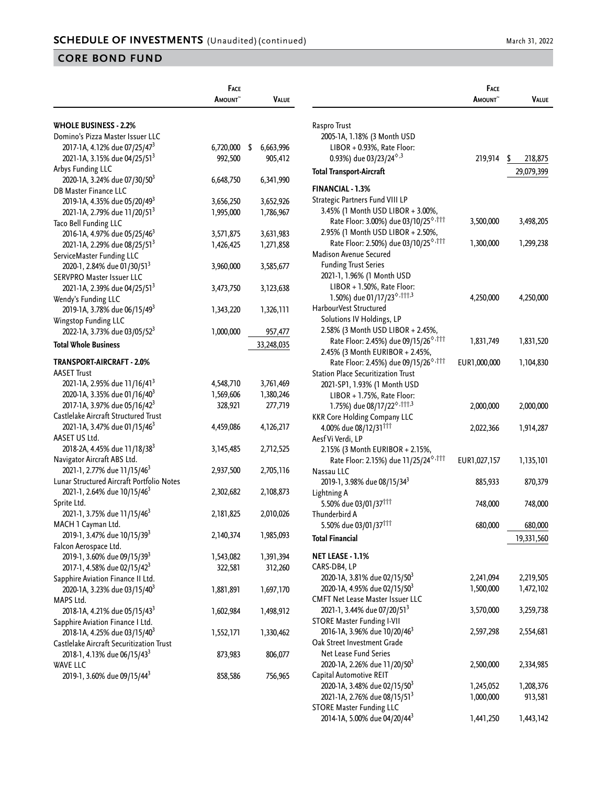|                                           | <b>FACE</b>   |                 |
|-------------------------------------------|---------------|-----------------|
|                                           | <b>AMOUNT</b> | Value           |
|                                           |               |                 |
| <b>WHOLE BUSINESS - 2.2%</b>              |               |                 |
| Domino's Pizza Master Issuer LLC          |               |                 |
| 2017-1A, 4.12% due 07/25/47 <sup>3</sup>  | 6,720,000     | \$<br>6,663,996 |
| 2021-1A, 3.15% due 04/25/51 <sup>3</sup>  | 992,500       | 905,412         |
| Arbys Funding LLC                         |               |                 |
| 2020-1A, 3.24% due 07/30/50 <sup>3</sup>  | 6,648,750     | 6,341,990       |
| <b>DB Master Finance LLC</b>              |               |                 |
| 2019-1A, 4.35% due 05/20/49 <sup>3</sup>  | 3,656,250     | 3,652,926       |
| 2021-1A, 2.79% due 11/20/513              | 1,995,000     | 1,786,967       |
| Taco Bell Funding LLC                     |               |                 |
| 2016-1A, 4.97% due 05/25/46 <sup>3</sup>  | 3,571,875     | 3,631,983       |
| 2021-1A, 2.29% due 08/25/51 <sup>3</sup>  | 1,426,425     | 1,271,858       |
| ServiceMaster Funding LLC                 |               |                 |
| 2020-1, 2.84% due 01/30/51 <sup>3</sup>   | 3,960,000     | 3,585,677       |
| SERVPRO Master Issuer LLC                 |               |                 |
| 2021-1A, 2.39% due 04/25/51 <sup>3</sup>  | 3,473,750     | 3,123,638       |
| Wendy's Funding LLC                       |               |                 |
| 2019-1A, 3.78% due 06/15/49 <sup>3</sup>  | 1,343,220     | 1,326,111       |
| Wingstop Funding LLC                      |               |                 |
| 2022-1A, 3.73% due 03/05/52 <sup>3</sup>  | 1,000,000     | 957,477         |
| <b>Total Whole Business</b>               |               | 33,248,035      |
| TRANSPORT-AIRCRAFT - 2.0%                 |               |                 |
| <b>AASET Trust</b>                        |               |                 |
| 2021-1A, 2.95% due 11/16/41 <sup>3</sup>  | 4,548,710     | 3,761,469       |
| 2020-1A, 3.35% due 01/16/40 <sup>3</sup>  | 1,569,606     | 1,380,246       |
| 2017-1A, 3.97% due 05/16/42 <sup>3</sup>  | 328,921       | 277,719         |
| Castlelake Aircraft Structured Trust      |               |                 |
| 2021-1A, 3.47% due 01/15/46 <sup>3</sup>  | 4,459,086     | 4,126,217       |
| AASET US Ltd.                             |               |                 |
| 2018-2A, 4.45% due 11/18/38 <sup>3</sup>  | 3,145,485     | 2,712,525       |
| Navigator Aircraft ABS Ltd.               |               |                 |
| 2021-1, 2.77% due 11/15/46 <sup>3</sup>   | 2,937,500     | 2,705,116       |
| Lunar Structured Aircraft Portfolio Notes |               |                 |
| 2021-1, 2.64% due 10/15/46 <sup>3</sup>   | 2,302,682     | 2,108,873       |
| Sprite Ltd.                               |               |                 |
| 2021-1, 3.75% due 11/15/46 <sup>3</sup>   | 2,181,825     | 2,010,026       |
| MACH 1 Cayman Ltd.                        |               |                 |
| 2019-1, 3.47% due 10/15/39 <sup>3</sup>   | 2,140,374     | 1,985,093       |
| Falcon Aerospace Ltd.                     |               |                 |
| 2019-1, 3.60% due 09/15/39 <sup>3</sup>   | 1,543,082     | 1,391,394       |
| 2017-1, 4.58% due 02/15/42 <sup>3</sup>   | 322,581       | 312,260         |
| Sapphire Aviation Finance II Ltd.         |               |                 |
| 2020-1A, 3.23% due 03/15/40 <sup>3</sup>  | 1,881,891     | 1,697,170       |
| MAPS Ltd.                                 |               |                 |
| 2018-1A, 4.21% due 05/15/43 <sup>3</sup>  | 1,602,984     | 1,498,912       |
| Sapphire Aviation Finance I Ltd.          |               |                 |
| 2018-1A, 4.25% due 03/15/40 <sup>3</sup>  | 1,552,171     | 1,330,462       |
| Castlelake Aircraft Securitization Trust  |               |                 |
| 2018-1, 4.13% due 06/15/43 <sup>3</sup>   | 873,983       | 806,077         |
| <b>WAVE LLC</b>                           |               |                 |
| 2019-1, 3.60% due 09/15/44 <sup>3</sup>   | 858,586       | 756,965         |

|                                                                               | <b>FACE</b><br><b>A</b> MOUNT | Value         |
|-------------------------------------------------------------------------------|-------------------------------|---------------|
|                                                                               |                               |               |
| Raspro Trust                                                                  |                               |               |
| 2005-1A, 1.18% (3 Month USD                                                   |                               |               |
| LIBOR + 0.93%, Rate Floor:                                                    |                               |               |
| 0.93%) due 03/23/24 <sup>6,3</sup>                                            | 219,914                       | \$<br>218,875 |
| <b>Total Transport-Aircraft</b>                                               |                               | 29,079,399    |
| <b>FINANCIAL - 1.3%</b>                                                       |                               |               |
| Strategic Partners Fund VIII LP                                               |                               |               |
| 3.45% (1 Month USD LIBOR + 3.00%,                                             |                               |               |
| Rate Floor: 3.00%) due 03/10/25 <sup>°,†††</sup>                              | 3,500,000                     | 3,498,205     |
| 2.95% (1 Month USD LIBOR + 2.50%,                                             |                               |               |
| Rate Floor: 2.50%) due 03/10/25 <sup>6,†††</sup>                              | 1,300,000                     | 1,299,238     |
| <b>Madison Avenue Secured</b>                                                 |                               |               |
| <b>Funding Trust Series</b>                                                   |                               |               |
| 2021-1, 1.96% (1 Month USD                                                    |                               |               |
| LIBOR + 1.50%, Rate Floor:                                                    |                               |               |
| 1.50%) due 01/17/23 <sup><math>\diamond</math>,†††,3</sup>                    | 4,250,000                     | 4,250,000     |
| HarbourVest Structured                                                        |                               |               |
| Solutions IV Holdings, LP<br>2.58% (3 Month USD LIBOR + 2.45%,                |                               |               |
| Rate Floor: 2.45%) due 09/15/26 <sup>6,111</sup>                              | 1,831,749                     | 1,831,520     |
| 2.45% (3 Month EURIBOR + 2.45%,                                               |                               |               |
| Rate Floor: 2.45%) due 09/15/26 <sup>6,†††</sup>                              | EUR1,000,000                  | 1,104,830     |
| <b>Station Place Securitization Trust</b>                                     |                               |               |
| 2021-SP1, 1.93% (1 Month USD                                                  |                               |               |
| LIBOR + 1.75%, Rate Floor:                                                    |                               |               |
| 1.75%) due 08/17/22 <sup>6,†††,3</sup>                                        | 2,000,000                     | 2,000,000     |
| <b>KKR Core Holding Company LLC</b>                                           |                               |               |
| 4.00% due 08/12/31 <sup>111</sup>                                             | 2,022,366                     | 1,914,287     |
| Aesf Vi Verdi, LP                                                             |                               |               |
| 2.15% (3 Month EURIBOR + 2.15%,                                               |                               |               |
| Rate Floor: 2.15%) due 11/25/24 <sup>6,†††</sup>                              | EUR1,027,157                  | 1,135,101     |
| Nassau LLC                                                                    |                               |               |
| 2019-1, 3.98% due 08/15/34 <sup>3</sup>                                       | 885,933                       | 870,379       |
| Lightning A                                                                   |                               |               |
| 5.50% due 03/01/37 <sup>†††</sup>                                             | 748,000                       | 748,000       |
| Thunderbird A<br>5.50% due 03/01/37 <sup>†††</sup>                            | 680,000                       |               |
|                                                                               |                               | 680,000       |
| <b>Total Financial</b>                                                        |                               | 19,331,560    |
| NET LEASE - 1.1%                                                              |                               |               |
| CARS-DB4, LP                                                                  |                               |               |
| 2020-1A, 3.81% due 02/15/50 <sup>3</sup>                                      | 2,241,094                     | 2,219,505     |
| 2020-1A, 4.95% due 02/15/50 <sup>3</sup>                                      | 1,500,000                     | 1,472,102     |
| <b>CMFT Net Lease Master Issuer LLC</b>                                       |                               |               |
| 2021-1, 3.44% due 07/20/51 <sup>3</sup>                                       | 3,570,000                     | 3,259,738     |
| <b>STORE Master Funding I-VII</b><br>2016-1A, 3.96% due 10/20/46 <sup>3</sup> |                               |               |
| Oak Street Investment Grade                                                   | 2,597,298                     | 2,554,681     |
| Net Lease Fund Series                                                         |                               |               |
| 2020-1A, 2.26% due 11/20/50 <sup>3</sup>                                      | 2,500,000                     | 2,334,985     |
| Capital Automotive REIT                                                       |                               |               |
| 2020-1A, 3.48% due 02/15/50 <sup>3</sup>                                      | 1,245,052                     | 1,208,376     |
| 2021-1A, 2.76% due 08/15/51 <sup>3</sup>                                      | 1,000,000                     | 913,581       |
| <b>STORE Master Funding LLC</b>                                               |                               |               |
| 2014-1A, 5.00% due 04/20/44 <sup>3</sup>                                      | 1,441,250                     | 1,443,142     |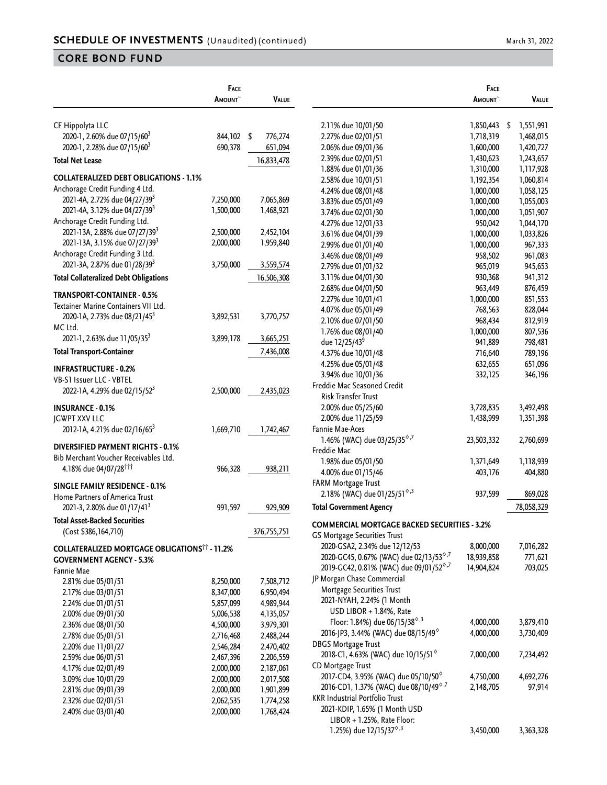|                                                      | FACE                |              |                                                                     | FACE                |                 |
|------------------------------------------------------|---------------------|--------------|---------------------------------------------------------------------|---------------------|-----------------|
|                                                      | AMOUNT <sup>~</sup> | <b>VALUE</b> |                                                                     | AMOUNT <sup>~</sup> | Value           |
| CF Hippolyta LLC                                     |                     |              | 2.11% due 10/01/50                                                  | 1,850,443           | 1,551,991<br>S. |
| 2020-1, 2.60% due 07/15/60 <sup>3</sup>              | 844,102 \$          | 776,274      | 2.27% due 02/01/51                                                  | 1,718,319           | 1,468,015       |
| 2020-1, 2.28% due 07/15/60 <sup>3</sup>              | 690,378             | 651,094      | 2.06% due 09/01/36                                                  | 1,600,000           | 1,420,727       |
| <b>Total Net Lease</b>                               |                     |              | 2.39% due 02/01/51                                                  | 1,430,623           | 1,243,657       |
|                                                      |                     | 16,833,478   | 1.88% due 01/01/36                                                  | 1,310,000           | 1,117,928       |
| <b>COLLATERALIZED DEBT OBLIGATIONS - 1.1%</b>        |                     |              | 2.58% due 10/01/51                                                  | 1,192,354           | 1,060,814       |
| Anchorage Credit Funding 4 Ltd.                      |                     |              | 4.24% due 08/01/48                                                  | 1,000,000           | 1,058,125       |
| 2021-4A, 2.72% due 04/27/39 <sup>3</sup>             | 7,250,000           | 7,065,869    | 3.83% due 05/01/49                                                  | 1,000,000           | 1,055,003       |
| 2021-4A, 3.12% due 04/27/39 <sup>3</sup>             | 1,500,000           | 1,468,921    | 3.74% due 02/01/30                                                  | 1,000,000           | 1,051,907       |
| Anchorage Credit Funding Ltd.                        |                     |              | 4.27% due 12/01/33                                                  | 950,042             | 1,044,170       |
| 2021-13A, 2.88% due 07/27/39 <sup>3</sup>            | 2,500,000           | 2,452,104    | 3.61% due 04/01/39                                                  | 1,000,000           | 1,033,826       |
| 2021-13A, 3.15% due 07/27/39 <sup>3</sup>            | 2,000,000           | 1,959,840    | 2.99% due 01/01/40                                                  | 1,000,000           | 967,333         |
| Anchorage Credit Funding 3 Ltd.                      |                     |              | 3.46% due 08/01/49                                                  | 958,502             | 961,083         |
| 2021-3A, 2.87% due 01/28/39 <sup>3</sup>             | 3,750,000           | 3,559,574    | 2.79% due 01/01/32                                                  | 965,019             | 945,653         |
| <b>Total Collateralized Debt Obligations</b>         |                     | 16,506,308   | 3.11% due 04/01/30                                                  | 930,368             | 941,312         |
|                                                      |                     |              | 2.68% due 04/01/50                                                  | 963,449             | 876,459         |
| <b>TRANSPORT-CONTAINER - 0.5%</b>                    |                     |              | 2.27% due 10/01/41                                                  | 1,000,000           | 851,553         |
| Textainer Marine Containers VII Ltd.                 |                     |              | 4.07% due 05/01/49                                                  | 768,563             | 828,044         |
| 2020-1A, 2.73% due 08/21/45 <sup>3</sup>             | 3,892,531           | 3,770,757    | 2.10% due 07/01/50                                                  | 968,434             | 812,919         |
| MC Ltd.                                              |                     |              | 1.76% due 08/01/40                                                  | 1,000,000           | 807,536         |
| 2021-1, 2.63% due 11/05/35 <sup>3</sup>              | 3,899,178           | 3,665,251    | due 12/25/43 <sup>9</sup>                                           | 941,889             | 798,481         |
| <b>Total Transport-Container</b>                     |                     | 7,436,008    | 4.37% due 10/01/48                                                  | 716,640             | 789,196         |
| <b>INFRASTRUCTURE - 0.2%</b>                         |                     |              | 4.25% due 05/01/48                                                  | 632,655             | 651,096         |
| VB-S1 Issuer LLC - VBTEL                             |                     |              | 3.94% due 10/01/36                                                  | 332,125             | 346,196         |
| 2022-1A, 4.29% due 02/15/52 <sup>3</sup>             | 2,500,000           | 2,435,023    | Freddie Mac Seasoned Credit                                         |                     |                 |
|                                                      |                     |              | Risk Transfer Trust                                                 |                     |                 |
| <b>INSURANCE - 0.1%</b>                              |                     |              | 2.00% due 05/25/60                                                  | 3,728,835           | 3,492,498       |
| <b>JGWPT XXV LLC</b>                                 |                     |              | 2.00% due 11/25/59                                                  | 1,438,999           | 1,351,398       |
| 2012-1A, 4.21% due 02/16/65 <sup>3</sup>             | 1,669,710           | 1,742,467    | Fannie Mae-Aces                                                     |                     |                 |
| DIVERSIFIED PAYMENT RIGHTS - 0.1%                    |                     |              | 1.46% (WAC) due 03/25/35 <sup><math>\diamond</math>,7</sup>         | 23,503,332          | 2,760,699       |
| Bib Merchant Voucher Receivables Ltd.                |                     |              | Freddie Mac                                                         |                     |                 |
| 4.18% due 04/07/28 <sup>†††</sup>                    | 966,328             | 938,211      | 1.98% due 05/01/50                                                  | 1,371,649           | 1,118,939       |
|                                                      |                     |              | 4.00% due 01/15/46                                                  | 403,176             | 404,880         |
| <b>SINGLE FAMILY RESIDENCE - 0.1%</b>                |                     |              | FARM Mortgage Trust                                                 |                     |                 |
| Home Partners of America Trust                       |                     |              | 2.18% (WAC) due 01/25/51 $\textdegree{3}$                           | 937,599             | 869,028         |
| 2021-3, 2.80% due 01/17/41 <sup>3</sup>              | 991,597             | 929,909      | <b>Total Government Agency</b>                                      |                     | 78,058,329      |
| <b>Total Asset-Backed Securities</b>                 |                     |              | <b>COMMERCIAL MORTGAGE BACKED SECURITIES - 3.2%</b>                 |                     |                 |
| (Cost \$386,164,710)                                 |                     | 376,755,751  | GS Mortgage Securities Trust                                        |                     |                 |
| <b>COLLATERALIZED MORTGAGE OBLIGATIONSTT - 11.2%</b> |                     |              | 2020-GSA2, 2.34% due 12/12/53                                       | 8,000,000           | 7,016,282       |
| <b>GOVERNMENT AGENCY - 5.3%</b>                      |                     |              | 2020-GC45, 0.67% (WAC) due 02/13/53 <sup>°,7</sup>                  | 18,939,858          | 771,621         |
| Fannie Mae                                           |                     |              | 2019-GC42, 0.81% (WAC) due 09/01/52 <sup>6,7</sup>                  | 14,904,824          | 703,025         |
| 2.81% due 05/01/51                                   | 8,250,000           | 7,508,712    | JP Morgan Chase Commercial                                          |                     |                 |
| 2.17% due 03/01/51                                   | 8,347,000           | 6,950,494    | Mortgage Securities Trust                                           |                     |                 |
| 2.24% due 01/01/51                                   | 5,857,099           | 4,989,944    | 2021-NYAH, 2.24% (1 Month                                           |                     |                 |
| 2.00% due 09/01/50                                   | 5,006,538           | 4,135,057    | USD LIBOR + 1.84%, Rate                                             |                     |                 |
| 2.36% due 08/01/50                                   | 4,500,000           | 3,979,301    | Floor: 1.84%) due 06/15/38 <sup><math>\diamond</math>,3</sup>       | 4,000,000           | 3,879,410       |
| 2.78% due 05/01/51                                   | 2,716,468           | 2,488,244    | 2016-JP3, 3.44% (WAC) due 08/15/49 <sup><math>\diamond</math></sup> | 4,000,000           | 3,730,409       |
| 2.20% due 11/01/27                                   | 2,546,284           | 2,470,402    | <b>DBGS Mortgage Trust</b>                                          |                     |                 |
| 2.59% due 06/01/51                                   | 2,467,396           | 2,206,559    | 2018-C1, 4.63% (WAC) due 10/15/51 <sup>6</sup>                      | 7,000,000           | 7,234,492       |
| 4.17% due 02/01/49                                   | 2,000,000           | 2,187,061    | CD Mortgage Trust                                                   |                     |                 |
| 3.09% due 10/01/29                                   | 2,000,000           | 2,017,508    | 2017-CD4, 3.95% (WAC) due 05/10/50 <sup>°</sup>                     | 4,750,000           | 4,692,276       |
| 2.81% due 09/01/39                                   | 2,000,000           | 1,901,899    | 2016-CD1, 1.37% (WAC) due 08/10/49 <sup>6,7</sup>                   | 2,148,705           | 97,914          |
| 2.32% due 02/01/51                                   | 2,062,535           | 1,774,258    | KKR Industrial Portfolio Trust                                      |                     |                 |
| 2.40% due 03/01/40                                   | 2,000,000           | 1,768,424    | 2021-KDIP, 1.65% (1 Month USD                                       |                     |                 |
|                                                      |                     |              | LIBOR + 1.25%, Rate Floor:                                          |                     |                 |
|                                                      |                     |              | 1.25%) due 12/15/37 <sup><math>\diamond</math>,3</sup>              | 3,450,000           | 3,363,328       |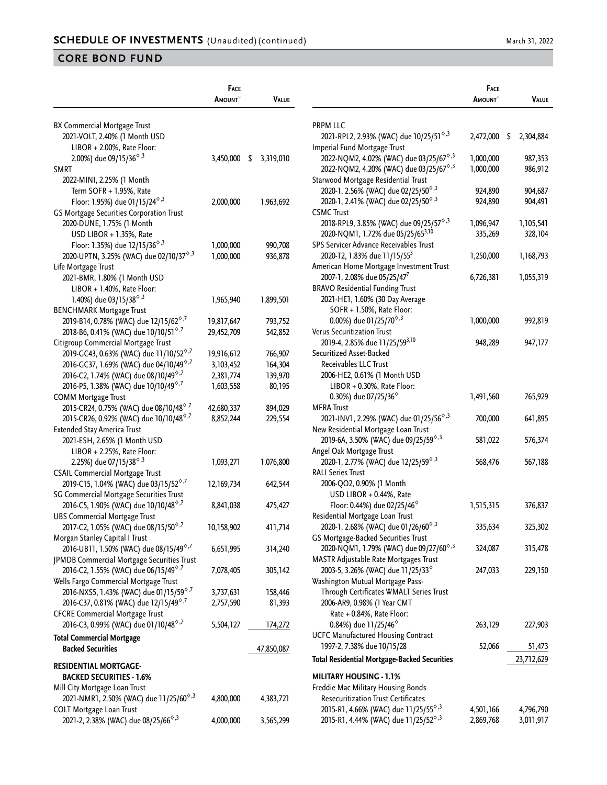|                                                                     | FACE          |                 |                                                                        | <b>FACE</b>   |                 |
|---------------------------------------------------------------------|---------------|-----------------|------------------------------------------------------------------------|---------------|-----------------|
|                                                                     | <b>AMOUNT</b> | <b>VALUE</b>    |                                                                        | <b>AMOUNT</b> | VALUE           |
|                                                                     |               |                 | <b>PRPM LLC</b>                                                        |               |                 |
| BX Commercial Mortgage Trust<br>2021-VOLT, 2.40% (1 Month USD       |               |                 | 2021-RPL2, 2.93% (WAC) due 10/25/51 <sup><math>\diamond</math>,3</sup> | 2,472,000     | \$<br>2,304,884 |
| LIBOR + 2.00%, Rate Floor:                                          |               |                 | Imperial Fund Mortgage Trust                                           |               |                 |
| 2.00%) due 09/15/36 <sup><math>\diamond</math>,3</sup>              | 3,450,000     | \$<br>3,319,010 | 2022-NQM2, 4.02% (WAC) due 03/25/67 <sup>6,3</sup>                     | 1,000,000     | 987,353         |
| <b>SMRT</b>                                                         |               |                 | 2022-NQM2, 4.20% (WAC) due 03/25/67 <sup>6,3</sup>                     | 1,000,000     | 986,912         |
| 2022-MINI, 2.25% (1 Month                                           |               |                 | Starwood Mortgage Residential Trust                                    |               |                 |
| Term SOFR + 1.95%, Rate                                             |               |                 | 2020-1, 2.56% (WAC) due 02/25/50 <sup><math>\diamond</math>,3</sup>    | 924,890       | 904,687         |
| Floor: 1.95%) due 01/15/24 <sup><math>\diamond</math>,3</sup>       | 2,000,000     | 1,963,692       | 2020-1, 2.41% (WAC) due 02/25/50 <sup><math>\diamond</math>,3</sup>    | 924,890       | 904,491         |
| GS Mortgage Securities Corporation Trust                            |               |                 | <b>CSMC Trust</b>                                                      |               |                 |
|                                                                     |               |                 | 2018-RPL9, 3.85% (WAC) due 09/25/57 <sup><math>\diamond</math>,3</sup> |               | 1,105,541       |
| 2020-DUNE, 1.75% (1 Month                                           |               |                 |                                                                        | 1,096,947     |                 |
| USD LIBOR + 1.35%, Rate                                             |               |                 | 2020-NQM1, 1.72% due 05/25/65 <sup>3,10</sup>                          | 335,269       | 328,104         |
| Floor: 1.35%) due 12/15/36 <sup>6,3</sup>                           | 1,000,000     | 990,708         | SPS Servicer Advance Receivables Trust                                 |               |                 |
| 2020-UPTN, 3.25% (WAC) due 02/10/37 <sup>6,3</sup>                  | 1,000,000     | 936,878         | 2020-T2, 1.83% due 11/15/55 <sup>3</sup>                               | 1,250,000     | 1,168,793       |
| Life Mortgage Trust                                                 |               |                 | American Home Mortgage Investment Trust                                |               |                 |
| 2021-BMR, 1.80% (1 Month USD                                        |               |                 | 2007-1, 2.08% due 05/25/47 <sup>7</sup>                                | 6,726,381     | 1,055,319       |
| LIBOR + 1.40%, Rate Floor:                                          |               |                 | <b>BRAVO Residential Funding Trust</b>                                 |               |                 |
| 1.40%) due 03/15/38 $^{\diamond,3}$                                 | 1,965,940     | 1,899,501       | 2021-HE1, 1.60% (30 Day Average                                        |               |                 |
| <b>BENCHMARK Mortgage Trust</b>                                     |               |                 | SOFR + 1.50%, Rate Floor:                                              |               |                 |
| 2019-B14, 0.78% (WAC) due 12/15/62 <sup>6,7</sup>                   | 19,817,647    | 793,752         | 0.00%) due 01/25/70 <sup><math>\diamond</math>,3</sup>                 | 1,000,000     | 992,819         |
| 2018-B6, 0.41% (WAC) due 10/10/51 <sup>6,7</sup>                    | 29,452,709    | 542,852         | Verus Securitization Trust                                             |               |                 |
| Citigroup Commercial Mortgage Trust                                 |               |                 | 2019-4, 2.85% due 11/25/59 <sup>3,10</sup>                             | 948,289       | 947,177         |
| 2019-GC43, 0.63% (WAC) due 11/10/52 <sup>°,7</sup>                  | 19,916,612    | 766,907         | Securitized Asset-Backed                                               |               |                 |
| 2016-GC37, 1.69% (WAC) due 04/10/49 <sup>6,7</sup>                  | 3, 103, 452   | 164,304         | Receivables LLC Trust                                                  |               |                 |
| 2016-C2, 1.74% (WAC) due 08/10/49 <sup>6,/</sup>                    | 2,381,774     | 139,970         | 2006-HE2, 0.61% (1 Month USD                                           |               |                 |
| 2016-P5, 1.38% (WAC) due 10/10/49 <sup>6,7</sup>                    | 1,603,558     | 80,195          | LIBOR + 0.30%, Rate Floor:                                             |               |                 |
| <b>COMM Mortgage Trust</b>                                          |               |                 | 0.30%) due 07/25/36 <sup>°</sup>                                       | 1,491,560     | 765,929         |
| 2015-CR24, 0.75% (WAC) due 08/10/48 <sup>6,7</sup>                  | 42,680,337    | 894,029         | <b>MFRA Trust</b>                                                      |               |                 |
| 2015-CR26, 0.92% (WAC) due 10/10/48 <sup>6,7</sup>                  | 8,852,244     | 229,554         | 2021-INV1, 2.29% (WAC) due 01/25/56 <sup><math>\diamond</math>,3</sup> | 700,000       | 641,895         |
| Extended Stay America Trust                                         |               |                 | New Residential Mortgage Loan Trust                                    |               |                 |
| 2021-ESH, 2.65% (1 Month USD                                        |               |                 | 2019-6A, 3.50% (WAC) due 09/25/59 <sup><math>\diamond</math>,3</sup>   | 581,022       | 576,374         |
| LIBOR + 2.25%, Rate Floor:                                          |               |                 | Angel Oak Mortgage Trust                                               |               |                 |
| 2.25%) due 07/15/38 <sup>6,3</sup>                                  | 1,093,271     | 1,076,800       | 2020-1, 2.77% (WAC) due 12/25/59 <sup>6,3</sup>                        | 568,476       | 567,188         |
| <b>CSAIL Commercial Mortgage Trust</b>                              |               |                 | <b>RALI Series Trust</b>                                               |               |                 |
| 2019-C15, 1.04% (WAC) due 03/15/52 <sup>6,7</sup>                   | 12,169,734    | 642,544         | 2006-QO2, 0.90% (1 Month                                               |               |                 |
| SG Commercial Mortgage Securities Trust                             |               |                 | USD LIBOR + 0.44%, Rate                                                |               |                 |
| 2016-C5, 1.90% (WAC) due 10/10/48 <sup>6,/</sup>                    | 8,841,038     | 475,427         | Floor: 0.44%) due 02/25/46 <sup>%</sup>                                | 1,515,315     | 376,837         |
| <b>UBS Commercial Mortgage Trust</b>                                |               |                 | Residential Mortgage Loan Trust                                        |               |                 |
| 2017-C2, 1.05% (WAC) due 08/15/50 <sup>6,7</sup>                    | 10,158,902    | 411,714         | 2020-1, 2.68% (WAC) due 01/26/60 <sup>6,3</sup>                        | 335,634       | 325,302         |
| Morgan Stanley Capital I Trust                                      |               |                 | GS Mortgage-Backed Securities Trust                                    |               |                 |
| 2016-UB11, 1.50% (WAC) due 08/15/49 <sup>6,7</sup>                  | 6,651,995     | 314,240         | 2020-NQM1, 1.79% (WAC) due 09/27/60 <sup>6,3</sup>                     | 324,087       | 315,478         |
| JPMDB Commercial Mortgage Securities Trust                          |               |                 | MASTR Adjustable Rate Mortgages Trust                                  |               |                 |
| 2016-C2, 1.55% (WAC) due 06/15/49 <sup>6,7</sup>                    | 7,078,405     | 305,142         | 2003-5, 3.26% (WAC) due 11/25/33 <sup>6</sup>                          | 247,033       | 229,150         |
| Wells Fargo Commercial Mortgage Trust                               |               |                 | Washington Mutual Mortgage Pass-                                       |               |                 |
| 2016-NXS5, 1.43% (WAC) due 01/15/59 <sup>6,7</sup>                  | 3,737,631     | 158,446         | Through Certificates WMALT Series Trust                                |               |                 |
| 2016-C37, 0.81% (WAC) due 12/15/49 <sup>6,7</sup>                   | 2,757,590     | 81,393          | 2006-AR9, 0.98% (1 Year CMT                                            |               |                 |
| <b>CFCRE Commercial Mortgage Trust</b>                              |               |                 | Rate + 0.84%, Rate Floor:                                              |               |                 |
| 2016-C3, 0.99% (WAC) due 01/10/48 <sup>6,7</sup>                    | 5,504,127     | 174,272         | 0.84%) due 11/25/46 <sup>°</sup>                                       | 263,129       | 227,903         |
|                                                                     |               |                 | <b>UCFC Manufactured Housing Contract</b>                              |               |                 |
| <b>Total Commercial Mortgage</b>                                    |               |                 | 1997-2, 7.38% due 10/15/28                                             | 52,066        | 51,473          |
| <b>Backed Securities</b>                                            |               | 47,850,087      | <b>Total Residential Mortgage-Backed Securities</b>                    |               | 23,712,629      |
| <b>RESIDENTIAL MORTGAGE-</b>                                        |               |                 |                                                                        |               |                 |
| <b>BACKED SECURITIES - 1.6%</b>                                     |               |                 | <b>MILITARY HOUSING - 1.1%</b>                                         |               |                 |
| Mill City Mortgage Loan Trust                                       |               |                 | Freddie Mac Military Housing Bonds                                     |               |                 |
| 2021-NMR1, 2.50% (WAC) due 11/25/60 <sup>6,3</sup>                  | 4,800,000     | 4,383,721       | <b>Resecuritization Trust Certificates</b>                             |               |                 |
| <b>COLT Mortgage Loan Trust</b>                                     |               |                 | 2015-R1, 4.66% (WAC) due 11/25/55 <sup><math>\diamond</math>,3</sup>   | 4,501,166     | 4,796,790       |
| 2021-2, 2.38% (WAC) due 08/25/66 <sup><math>\diamond</math>,3</sup> | 4,000,000     | 3,565,299       | 2015-R1, 4.44% (WAC) due 11/25/52 <sup>6,3</sup>                       | 2,869,768     | 3,011,917       |

|                                                                        | <b>A</b> MOUNT~ | VALUE           |
|------------------------------------------------------------------------|-----------------|-----------------|
|                                                                        |                 |                 |
| PRPM LLC                                                               |                 |                 |
| 2021-RPL2, 2.93% (WAC) due 10/25/51 <sup><math>\diamond</math>,3</sup> | 2,472,000       | \$<br>2,304,884 |
| Imperial Fund Mortgage Trust                                           |                 |                 |
| 2022-NQM2, 4.02% (WAC) due 03/25/67 <sup>6,3</sup>                     | 1,000,000       | 987,353         |
| 2022-NQM2, 4.20% (WAC) due 03/25/67 <sup>6,3</sup>                     | 1,000,000       | 986,912         |
| Starwood Mortgage Residential Trust                                    |                 |                 |
| 2020-1, 2.56% (WAC) due 02/25/50 <sup><math>\diamond</math>,3</sup>    | 924,890         | 904,687         |
| 2020-1, 2.41% (WAC) due 02/25/50 <sup><math>\diamond</math>,3</sup>    | 924,890         | 904,491         |
| <b>CSMC Trust</b>                                                      |                 |                 |
| 2018-RPL9, 3.85% (WAC) due 09/25/57 <sup>6,3</sup>                     | 1,096,947       | 1,105,541       |
| 2020-NQM1, 1.72% due 05/25/65 <sup>3,10</sup>                          | 335,269         | 328,104         |
| SPS Servicer Advance Receivables Trust                                 |                 |                 |
| 2020-T2, 1.83% due 11/15/55 <sup>3</sup>                               | 1,250,000       | 1,168,793       |
| American Home Mortgage Investment Trust                                |                 |                 |
| 2007-1, 2.08% due 05/25/47 <sup>7</sup>                                | 6,726,381       | 1,055,319       |
| <b>BRAVO Residential Funding Trust</b>                                 |                 |                 |
| 2021-HE1, 1.60% (30 Day Average                                        |                 |                 |
| SOFR + 1.50%, Rate Floor:                                              |                 |                 |
| 0.00%) due 01/25/70 <sup>6,3</sup>                                     | 1,000,000       | 992,819         |
| Verus Securitization Trust                                             |                 |                 |
| 2019-4, 2.85% due 11/25/59 <sup>3,10</sup>                             | 948,289         | 947,177         |
| Securitized Asset-Backed                                               |                 |                 |
| Receivables LLC Trust                                                  |                 |                 |
| 2006-HE2, 0.61% (1 Month USD                                           |                 |                 |
| LIBOR + 0.30%, Rate Floor:                                             |                 |                 |
| 0.30%) due 07/25/36 <sup>°</sup>                                       | 1,491,560       | 765,929         |
| MFRA Trust                                                             |                 |                 |
| 2021-INV1, 2.29% (WAC) due 01/25/56 <sup>6,3</sup>                     | 700,000         | 641,895         |
| New Residential Mortgage Loan Trust                                    |                 |                 |
| 2019-6A, 3.50% (WAC) due 09/25/59 <sup>6,3</sup>                       | 581,022         | 576,374         |
| Angel Oak Mortgage Trust                                               |                 |                 |
| 2020-1, 2.77% (WAC) due 12/25/59 <sup>6,3</sup>                        | 568,476         | 567,188         |
| <b>RALI Series Trust</b>                                               |                 |                 |
| 2006-QO2, 0.90% (1 Month                                               |                 |                 |
| USD LIBOR + 0.44%, Rate                                                |                 |                 |
| Floor: 0.44%) due 02/25/46 <sup>6</sup>                                | 1,515,315       | 376,837         |
| Residential Mortgage Loan Trust                                        |                 |                 |
| 2020-1, 2.68% (WAC) due 01/26/60 <sup>6,3</sup>                        | 335,634         | 325,302         |
| GS Mortgage-Backed Securities Trust                                    |                 |                 |
| 2020-NQM1, 1.79% (WAC) due 09/27/60 <sup>6,3</sup>                     | 324,087         | 315,478         |
| MASTR Adjustable Rate Mortgages Trust                                  |                 |                 |
| 2003-5, 3.26% (WAC) due 11/25/33 <sup>6</sup>                          | 247,033         | 229,150         |
| Washington Mutual Mortgage Pass-                                       |                 |                 |
| Through Certificates WMALT Series Trust                                |                 |                 |
| 2006-AR9, 0.98% (1 Year CMT                                            |                 |                 |
| Rate + 0.84%, Rate Floor:                                              |                 |                 |
| 0.84%) due 11/25/46 <sup>°</sup>                                       | 263,129         | 227,903         |
| <b>UCFC Manufactured Housing Contract</b>                              |                 |                 |
| 1997-2, 7.38% due 10/15/28                                             | 52,066          | 51,473          |
| <b>Total Residential Mortgage-Backed Securities</b>                    |                 | 23,712,629      |
| <b>MILITARY HOUSING - 1.1%</b>                                         |                 |                 |
| Freddie Mac Military Housing Bonds                                     |                 |                 |
| Resecuritization Trust Certificates                                    |                 |                 |

**Face**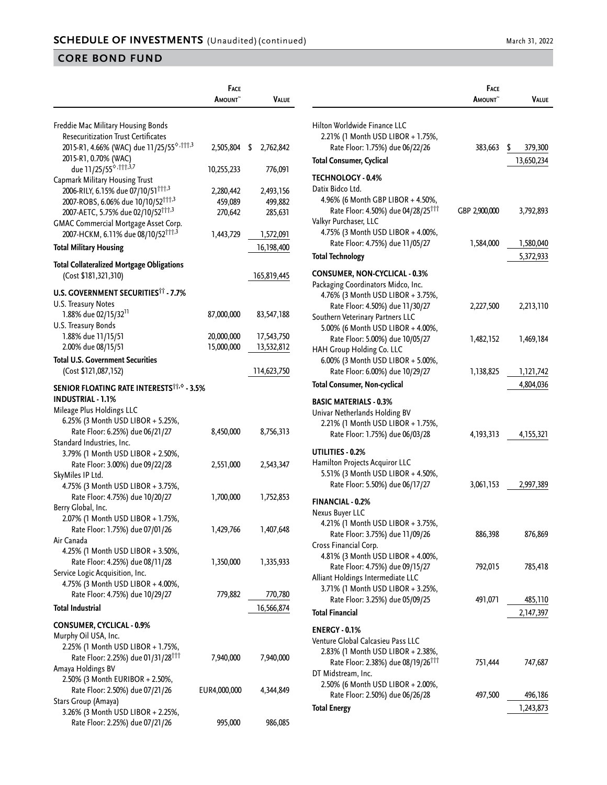**Face**

|                                                       | <b>FACE</b>     |                 |
|-------------------------------------------------------|-----------------|-----------------|
|                                                       | <b>A</b> mount~ | VALUE           |
|                                                       |                 |                 |
| Freddie Mac Military Housing Bonds                    |                 |                 |
| <b>Resecuritization Trust Certificates</b>            |                 |                 |
| 2015-R1, 4.66% (WAC) due 11/25/55 <sup>6,†††,3</sup>  | 2,505,804       | \$<br>2,762,842 |
| 2015-R1, 0.70% (WAC)                                  |                 |                 |
| due 11/25/55 <sup>6, 111, 3,7</sup>                   | 10,255,233      | 776,091         |
| <b>Capmark Military Housing Trust</b>                 |                 |                 |
| 2006-RILY, 6.15% due 07/10/51 <sup>111,3</sup>        | 2,280,442       | 2,493,156       |
| 2007-ROBS, 6.06% due 10/10/52 <sup>†††,3</sup>        | 459,089         | 499,882         |
| 2007-AETC, 5.75% due 02/10/52 <sup>†††,3</sup>        | 270,642         | 285,631         |
| GMAC Commercial Mortgage Asset Corp.                  |                 |                 |
| 2007-HCKM, 6.11% due 08/10/52 <sup>†††,3</sup>        | 1,443,729       | 1,572,091       |
| <b>Total Military Housing</b>                         |                 | 16,198,400      |
|                                                       |                 |                 |
| <b>Total Collateralized Mortgage Obligations</b>      |                 |                 |
| (Cost \$181,321,310)                                  |                 | 165,819,445     |
| <b>U.S. GOVERNMENT SECURITIES<sup>11</sup> - 7.7%</b> |                 |                 |
| U.S. Treasury Notes                                   |                 |                 |
| 1.88% due 02/15/32 <sup>11</sup>                      | 87,000,000      | 83,547,188      |
|                                                       |                 |                 |
| U.S. Treasury Bonds                                   | 20,000,000      |                 |
| 1.88% due 11/15/51                                    |                 | 17,543,750      |
| 2.00% due 08/15/51                                    | 15,000,000      | 13,532,812      |
| <b>Total U.S. Government Securities</b>               |                 |                 |
| (Cost \$121,087,152)                                  |                 | 114,623,750     |
| <b>SENIOR FLOATING RATE INTERESTS TO - 3.5%</b>       |                 |                 |
| <b>INDUSTRIAL - 1.1%</b>                              |                 |                 |
| Mileage Plus Holdings LLC                             |                 |                 |
| 6.25% (3 Month USD LIBOR + 5.25%,                     |                 |                 |
| Rate Floor: 6.25%) due 06/21/27                       | 8,450,000       | 8,756,313       |
| Standard Industries, Inc.                             |                 |                 |
|                                                       |                 |                 |
| 3.79% (1 Month USD LIBOR + 2.50%,                     |                 |                 |
| Rate Floor: 3.00%) due 09/22/28                       | 2,551,000       | 2,543,347       |
| SkyMiles IP Ltd.                                      |                 |                 |
| 4.75% (3 Month USD LIBOR + 3.75%,                     |                 |                 |
| Rate Floor: 4.75%) due 10/20/27                       | 1,700,000       | 1,752,853       |
| Berry Global, Inc.                                    |                 |                 |
| 2.07% (1 Month USD LIBOR + 1.75%,                     |                 |                 |
| Rate Floor: 1.75%) due 07/01/26                       | 1,429,766       | 1,407,648       |
| Air Canada                                            |                 |                 |
| 4.25% (1 Month USD LIBOR + 3.50%,                     |                 |                 |
| Rate Floor: 4.25%) due 08/11/28                       | 1,350,000       | 1,335,933       |
| Service Logic Acquisition, Inc.                       |                 |                 |
| 4.75% (3 Month USD LIBOR + 4.00%,                     |                 |                 |
| Rate Floor: 4.75%) due 10/29/27                       | 779,882         | 770,780         |
| <b>Total Industrial</b>                               |                 | 16,566,874      |
|                                                       |                 |                 |
| <b>CONSUMER, CYCLICAL - 0.9%</b>                      |                 |                 |
| Murphy Oil USA, Inc.                                  |                 |                 |
| 2.25% (1 Month USD LIBOR + 1.75%,                     |                 |                 |
| Rate Floor: 2.25%) due 01/31/28 <sup>111</sup>        | 7,940,000       | 7,940,000       |
| Amaya Holdings BV                                     |                 |                 |
| 2.50% (3 Month EURIBOR + 2.50%,                       |                 |                 |
| Rate Floor: 2.50%) due 07/21/26                       | EUR4,000,000    | 4,344,849       |
| Stars Group (Amaya)                                   |                 |                 |
| 3.26% (3 Month USD LIBOR + 2.25%,                     |                 |                 |
| Rate Floor: 2.25%) due 07/21/26                       | 995,000         | 986,085         |

|                                                                                                                                                                                                          | <b>FACE</b><br>Amount~     | VALUE                       |
|----------------------------------------------------------------------------------------------------------------------------------------------------------------------------------------------------------|----------------------------|-----------------------------|
|                                                                                                                                                                                                          |                            |                             |
| Hilton Worldwide Finance LLC<br>2.21% (1 Month USD LIBOR + 1.75%,<br>Rate Floor: 1.75%) due 06/22/26<br><b>Total Consumer, Cyclical</b>                                                                  | 383,663                    | \$<br>379,300<br>13,650,234 |
| <b>TECHNOLOGY - 0.4%</b>                                                                                                                                                                                 |                            |                             |
| Datix Bidco Ltd.<br>4.96% (6 Month GBP LIBOR + 4.50%,<br>Rate Floor: 4.50%) due 04/28/25 <sup>111</sup><br>Valkyr Purchaser, LLC<br>4.75% (3 Month USD LIBOR + 4.00%,<br>Rate Floor: 4.75%) due 11/05/27 | GBP 2,900,000<br>1,584,000 | 3,792,893<br>1,580,040      |
| <b>Total Technology</b>                                                                                                                                                                                  |                            | 5,372,933                   |
| <b>CONSUMER, NON-CYCLICAL - 0.3%</b><br>Packaging Coordinators Midco, Inc.<br>4.76% (3 Month USD LIBOR + 3.75%,                                                                                          |                            |                             |
| Rate Floor: 4.50%) due 11/30/27<br>Southern Veterinary Partners LLC<br>5.00% (6 Month USD LIBOR + 4.00%,                                                                                                 | 2,227,500                  | 2,213,110                   |
| Rate Floor: 5.00%) due 10/05/27<br>HAH Group Holding Co. LLC<br>6.00% (3 Month USD LIBOR + 5.00%,                                                                                                        | 1,482,152                  | 1,469,184                   |
| Rate Floor: 6.00%) due 10/29/27                                                                                                                                                                          | 1,138,825                  | 1,121,742                   |
| <b>Total Consumer, Non-cyclical</b>                                                                                                                                                                      |                            | 4,804,036                   |
| <b>BASIC MATERIALS - 0.3%</b><br>Univar Netherlands Holding BV<br>2.21% (1 Month USD LIBOR + 1.75%,<br>Rate Floor: 1.75%) due 06/03/28<br>UTILITIES - 0.2%                                               | 4, 193, 313                | 4,155,321                   |
| Hamilton Projects Acquiror LLC<br>5.51% (3 Month USD LIBOR + 4.50%,<br>Rate Floor: 5.50%) due 06/17/27                                                                                                   | 3,061,153                  | 2,997,389                   |
| <b>FINANCIAL - 0.2%</b>                                                                                                                                                                                  |                            |                             |
| Nexus Buyer LLC<br>4.21% (1 Month USD LIBOR + 3.75%,<br>Rate Floor: 3.75%) due 11/09/26<br>Cross Financial Corp.<br>4.81% (3 Month USD LIBOR + 4.00%,                                                    | 886,398                    | 876,869                     |
| Rate Floor: 4.75%) due 09/15/27<br>Alliant Holdings Intermediate LLC                                                                                                                                     | 792,015                    | 785,418                     |
| 3.71% (1 Month USD LIBOR + 3.25%,<br>Rate Floor: 3.25%) due 05/09/25                                                                                                                                     | 491,071                    | 485,110                     |
| <b>Total Financial</b>                                                                                                                                                                                   |                            | 2,147,397                   |
| <b>ENERGY - 0.1%</b>                                                                                                                                                                                     |                            |                             |
| Venture Global Calcasieu Pass LLC<br>2.83% (1 Month USD LIBOR + 2.38%,<br>Rate Floor: 2.38%) due 08/19/26 <sup>†††</sup><br>DT Midstream, Inc.                                                           | 751,444                    | 747,687                     |
| 2.50% (6 Month USD LIBOR + 2.00%,                                                                                                                                                                        |                            |                             |
| Rate Floor: 2.50%) due 06/26/28<br><b>Total Energy</b>                                                                                                                                                   | 497,500                    | 496,186<br>1,243,873        |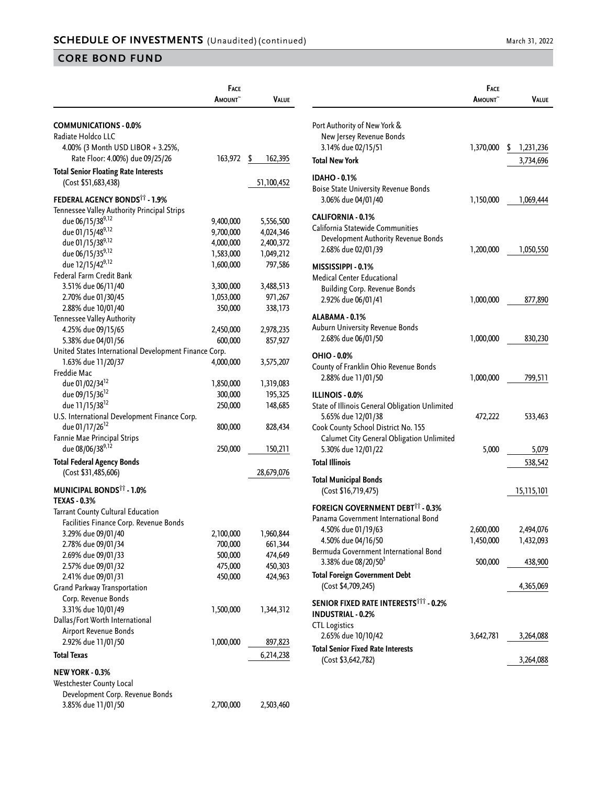|                                                                    | FACE           |                    |
|--------------------------------------------------------------------|----------------|--------------------|
|                                                                    | <b>A</b> MOUNT | Value              |
| <b>COMMUNICATIONS - 0.0%</b>                                       |                |                    |
| Radiate Holdco LLC                                                 |                |                    |
| 4.00% (3 Month USD LIBOR + 3.25%,                                  |                |                    |
| Rate Floor: 4.00%) due 09/25/26                                    | 163,972        | \$<br>162,395      |
|                                                                    |                |                    |
| <b>Total Senior Floating Rate Interests</b><br>(Cost \$51,683,438) |                | 51,100,452         |
| FEDERAL AGENCY BONDS <sup>11</sup> - 1.9%                          |                |                    |
| Tennessee Valley Authority Principal Strips                        |                |                    |
| due 06/15/389,12                                                   | 9,400,000      | 5,556,500          |
| due 01/15/489,12                                                   | 9,700,000      | 4,024,346          |
| due 01/15/389,12                                                   | 4,000,000      | 2,400,372          |
| due 06/15/359,12                                                   | 1,583,000      | 1,049,212          |
| due 12/15/429,12                                                   | 1,600,000      | 797,586            |
| Federal Farm Credit Bank                                           |                |                    |
| 3.51% due 06/11/40                                                 | 3,300,000      | 3,488,513          |
| 2.70% due 01/30/45                                                 | 1,053,000      | 971,267            |
| 2.88% due 10/01/40                                                 | 350,000        | 338,173            |
| Tennessee Valley Authority                                         |                |                    |
| 4.25% due 09/15/65                                                 | 2,450,000      | 2,978,235          |
| 5.38% due 04/01/56                                                 | 600,000        | 857,927            |
| United States International Development Finance Corp.              |                |                    |
| 1.63% due 11/20/37                                                 | 4,000,000      | 3,575,207          |
| Freddie Mac                                                        |                |                    |
| due 01/02/34 <sup>12</sup>                                         | 1,850,000      | 1,319,083          |
| due 09/15/36 <sup>12</sup>                                         | 300,000        | 195,325            |
| due 11/15/38 <sup>12</sup>                                         | 250,000        | 148,685            |
| U.S. International Development Finance Corp.                       |                |                    |
| due 01/17/26 <sup>12</sup>                                         | 800,000        | 828,434            |
| Fannie Mae Principal Strips                                        |                |                    |
| due 08/06/389,12                                                   | 250,000        | 150,211            |
| <b>Total Federal Agency Bonds</b>                                  |                |                    |
| (Cost \$31,485,606)                                                |                | 28,679,076         |
| <b>MUNICIPAL BONDS<sup>11</sup> - 1.0%</b>                         |                |                    |
| <b>TEXAS - 0.3%</b>                                                |                |                    |
| Tarrant County Cultural Education                                  |                |                    |
| Facilities Finance Corp. Revenue Bonds                             |                |                    |
| 3.29% due 09/01/40                                                 | 2,100,000      | 1,960,844          |
| 2.78% due 09/01/34                                                 | 700,000        | 661,344            |
| 2.69% due 09/01/33                                                 | 500,000        | 474,649            |
| 2.57% due 09/01/32<br>2.41% due 09/01/31                           | 475,000        | 450,303<br>424,963 |
| Grand Parkway Transportation                                       | 450,000        |                    |
| Corp. Revenue Bonds                                                |                |                    |
| 3.31% due 10/01/49                                                 | 1,500,000      | 1,344,312          |
| Dallas/Fort Worth International                                    |                |                    |
| Airport Revenue Bonds                                              |                |                    |
| 2.92% due 11/01/50                                                 | 1,000,000      | 897,823            |
| <b>Total Texas</b>                                                 |                |                    |
|                                                                    |                | 6,214,238          |
| NEW YORK - 0.3%                                                    |                |                    |
| Westchester County Local                                           |                |                    |
| Development Corp. Revenue Bonds                                    |                |                    |
| 3.85% due 11/01/50                                                 | 2,700,000      | 2,503,460          |

|                                                                                                                                                                                    | Face                   |                        |
|------------------------------------------------------------------------------------------------------------------------------------------------------------------------------------|------------------------|------------------------|
|                                                                                                                                                                                    | AMOUNT <sup>~</sup>    | Value                  |
| Port Authority of New York &<br>New Jersey Revenue Bonds                                                                                                                           |                        |                        |
| 3.14% due 02/15/51                                                                                                                                                                 | 1,370,000              | \$<br>1,231,236        |
| <b>Total New York</b>                                                                                                                                                              |                        | 3,734,696              |
| <b>IDAHO - 0.1%</b><br><b>Boise State University Revenue Bonds</b><br>3.06% due 04/01/40                                                                                           | 1,150,000              | 1,069,444              |
| <b>CALIFORNIA - 0.1%</b><br>California Statewide Communities<br>Development Authority Revenue Bonds<br>2.68% due 02/01/39                                                          | 1,200,000              | 1,050,550              |
| MISSISSIPPI - 0.1%<br><b>Medical Center Educational</b><br><b>Building Corp. Revenue Bonds</b><br>2.92% due 06/01/41                                                               | 1,000,000              | 877,890                |
| ALABAMA - 0.1%<br>Auburn University Revenue Bonds<br>2.68% due 06/01/50                                                                                                            | 1,000,000              | 830,230                |
| OHIO - 0.0%<br>County of Franklin Ohio Revenue Bonds<br>2.88% due 11/01/50                                                                                                         | 1,000,000              | 799,511                |
| <b>ILLINOIS - 0.0%</b><br>State of Illinois General Obligation Unlimited<br>5.65% due 12/01/38<br>Cook County School District No. 155<br>Calumet City General Obligation Unlimited | 472,222                | 533,463                |
| 5.30% due 12/01/22                                                                                                                                                                 | 5,000                  | 5,079                  |
| <b>Total Illinois</b>                                                                                                                                                              |                        | 538,542                |
| <b>Total Municipal Bonds</b><br>(Cost \$16,719,475)                                                                                                                                |                        | 15,115,101             |
| <b>FOREIGN GOVERNMENT DEBT<sup>11</sup> - 0.3%</b><br>Panama Government International Bond                                                                                         |                        |                        |
| 4.50% due 01/19/63<br>4.50% due 04/16/50                                                                                                                                           | 2,600,000<br>1,450,000 | 2,494,076<br>1,432,093 |
| Bermuda Government International Bond<br>3.38% due 08/20/50 <sup>3</sup>                                                                                                           | 500,000                | 438,900                |
| <b>Total Foreign Government Debt</b><br>(Cost \$4,709,245)                                                                                                                         |                        | 4,365,069              |
| <b>SENIOR FIXED RATE INTERESTS<sup>TTT</sup> - 0.2%</b><br><b>INDUSTRIAL - 0.2%</b><br><b>CTL Logistics</b>                                                                        |                        |                        |
| 2.65% due 10/10/42                                                                                                                                                                 | 3,642,781              | 3,264,088              |
| <b>Total Senior Fixed Rate Interests</b><br>(Cost \$3,642,782)                                                                                                                     |                        | 3,264,088              |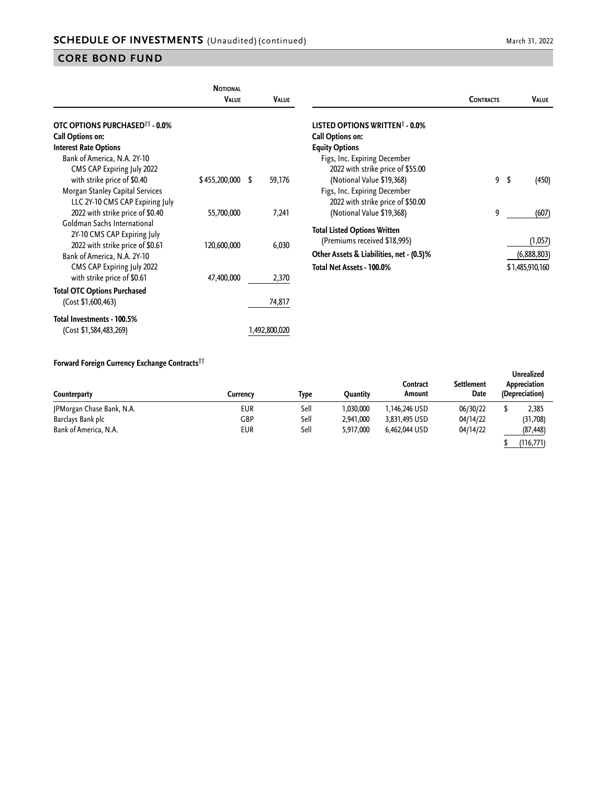| <b>NOTIONAL</b><br><b>VALUE</b> | <b>VALUE</b>       |                                                                          | <b>CONTRACTS</b>                                                                          |   | VALUE                  |
|---------------------------------|--------------------|--------------------------------------------------------------------------|-------------------------------------------------------------------------------------------|---|------------------------|
|                                 |                    | LISTED OPTIONS WRITTEN <sup>†</sup> - 0.0%<br>Call Options on:           |                                                                                           |   |                        |
|                                 |                    | Figs, Inc. Expiring December<br>2022 with strike price of \$55.00        |                                                                                           |   |                        |
|                                 |                    | Figs, Inc. Expiring December<br>2022 with strike price of \$50.00        |                                                                                           |   | (450)                  |
| 55,700,000                      | 7,241              | (Notional Value \$19,368)                                                | 9                                                                                         |   | (607)                  |
| 120,600,000                     | 6,030              | (Premiums received \$18,995)<br>Other Assets & Liabilities, net - (0.5)% |                                                                                           |   | (1,057)<br>(6,888,803) |
| 47,400,000                      | 2,370              | Total Net Assets - 100.0%                                                |                                                                                           |   | \$1,485,910,160        |
|                                 | 74,817             |                                                                          |                                                                                           |   |                        |
|                                 | \$455,200,000<br>S | 59,176                                                                   | <b>Equity Options</b><br>(Notional Value \$19,368)<br><b>Total Listed Options Written</b> | 9 | \$                     |

#### **Forward Foreign Currency Exchange Contracts††**

(Cost \$1,584,483,269) 1,492,800,020

| Counterparty              | Currencv | Type | Ouantitv  | Contract<br>Amount | <b>Settlement</b><br>Date | Unrealized<br>Appreciation<br>(Depreciation) |
|---------------------------|----------|------|-----------|--------------------|---------------------------|----------------------------------------------|
| JPMorgan Chase Bank, N.A. | EUR      | Sell | 030,000   | 1,146,246 USD      | 06/30/22                  | 2,385                                        |
| Barclays Bank plc         | GBP      | Sell | 2,941,000 | 3,831,495 USD      | 04/14/22                  | (31,708)                                     |
| Bank of America, N.A.     | EUR      | Sell | 5,917,000 | 6,462,044 USD      | 04/14/22                  | (87, 448)                                    |
|                           |          |      |           |                    |                           | (116, 771)                                   |